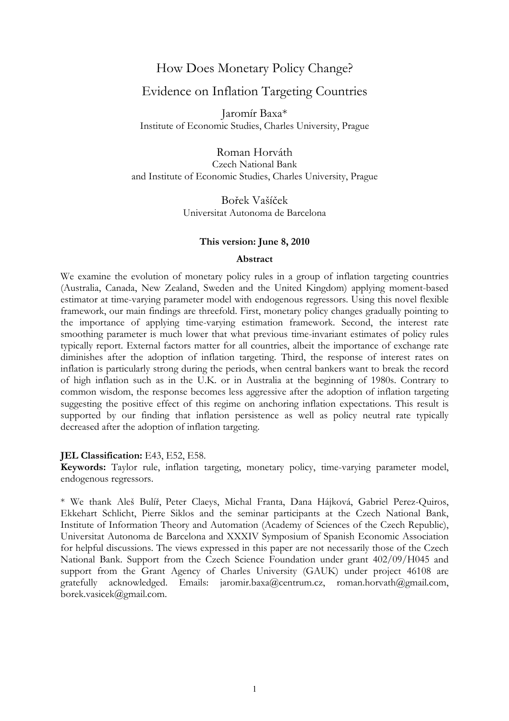# How Does Monetary Policy Change?

## Evidence on Inflation Targeting Countries

Jaromír Baxa\* Institute of Economic Studies, Charles University, Prague

Roman Horváth

Czech National Bank and Institute of Economic Studies, Charles University, Prague

> Bořek Vašíček Universitat Autonoma de Barcelona

### **This version: June 8, 2010**

### **Abstract**

We examine the evolution of monetary policy rules in a group of inflation targeting countries (Australia, Canada, New Zealand, Sweden and the United Kingdom) applying moment-based estimator at time-varying parameter model with endogenous regressors. Using this novel flexible framework, our main findings are threefold. First, monetary policy changes gradually pointing to the importance of applying time-varying estimation framework. Second, the interest rate smoothing parameter is much lower that what previous time-invariant estimates of policy rules typically report. External factors matter for all countries, albeit the importance of exchange rate diminishes after the adoption of inflation targeting. Third, the response of interest rates on inflation is particularly strong during the periods, when central bankers want to break the record of high inflation such as in the U.K. or in Australia at the beginning of 1980s. Contrary to common wisdom, the response becomes less aggressive after the adoption of inflation targeting suggesting the positive effect of this regime on anchoring inflation expectations. This result is supported by our finding that inflation persistence as well as policy neutral rate typically decreased after the adoption of inflation targeting.

### **IEL Classification:** E43, E52, E58.

**Keywords:** Taylor rule, inflation targeting, monetary policy, time-varying parameter model, endogenous regressors.

\* We thank Aleš Bulíř, Peter Claeys, Michal Franta, Dana Hájková, Gabriel Perez-Quiros, Ekkehart Schlicht, Pierre Siklos and the seminar participants at the Czech National Bank, Institute of Information Theory and Automation (Academy of Sciences of the Czech Republic), Universitat Autonoma de Barcelona and XXXIV Symposium of Spanish Economic Association for helpful discussions. The views expressed in this paper are not necessarily those of the Czech National Bank. Support from the Czech Science Foundation under grant 402/09/H045 and support from the Grant Agency of Charles University (GAUK) under project 46108 are gratefully acknowledged. Emails: jaromir.baxa@centrum.cz, roman.horvath@gmail.com, borek.vasicek@gmail.com.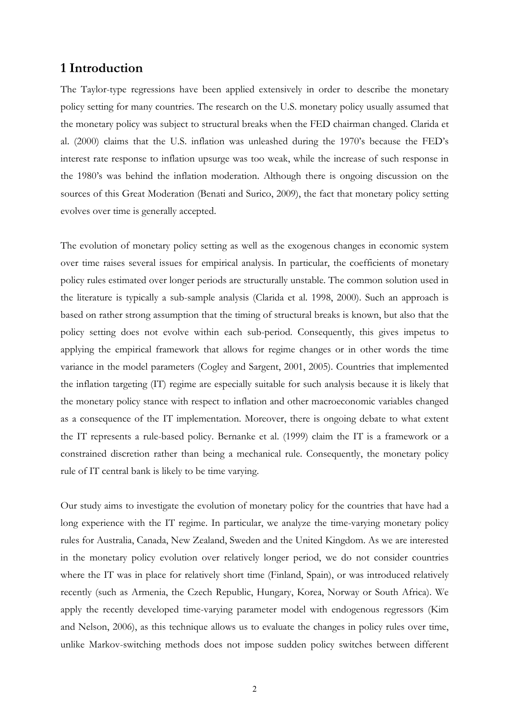## **1 Introduction**

The Taylor-type regressions have been applied extensively in order to describe the monetary policy setting for many countries. The research on the U.S. monetary policy usually assumed that the monetary policy was subject to structural breaks when the FED chairman changed. Clarida et al. (2000) claims that the U.S. inflation was unleashed during the 1970's because the FED's interest rate response to inflation upsurge was too weak, while the increase of such response in the 1980's was behind the inflation moderation. Although there is ongoing discussion on the sources of this Great Moderation (Benati and Surico, 2009), the fact that monetary policy setting evolves over time is generally accepted.

The evolution of monetary policy setting as well as the exogenous changes in economic system over time raises several issues for empirical analysis. In particular, the coefficients of monetary policy rules estimated over longer periods are structurally unstable. The common solution used in the literature is typically a sub-sample analysis (Clarida et al. 1998, 2000). Such an approach is based on rather strong assumption that the timing of structural breaks is known, but also that the policy setting does not evolve within each sub-period. Consequently, this gives impetus to applying the empirical framework that allows for regime changes or in other words the time variance in the model parameters (Cogley and Sargent, 2001, 2005). Countries that implemented the inflation targeting (IT) regime are especially suitable for such analysis because it is likely that the monetary policy stance with respect to inflation and other macroeconomic variables changed as a consequence of the IT implementation. Moreover, there is ongoing debate to what extent the IT represents a rule-based policy. Bernanke et al. (1999) claim the IT is a framework or a constrained discretion rather than being a mechanical rule. Consequently, the monetary policy rule of IT central bank is likely to be time varying.

Our study aims to investigate the evolution of monetary policy for the countries that have had a long experience with the IT regime. In particular, we analyze the time-varying monetary policy rules for Australia, Canada, New Zealand, Sweden and the United Kingdom. As we are interested in the monetary policy evolution over relatively longer period, we do not consider countries where the IT was in place for relatively short time (Finland, Spain), or was introduced relatively recently (such as Armenia, the Czech Republic, Hungary, Korea, Norway or South Africa). We apply the recently developed time-varying parameter model with endogenous regressors (Kim and Nelson, 2006), as this technique allows us to evaluate the changes in policy rules over time, unlike Markov-switching methods does not impose sudden policy switches between different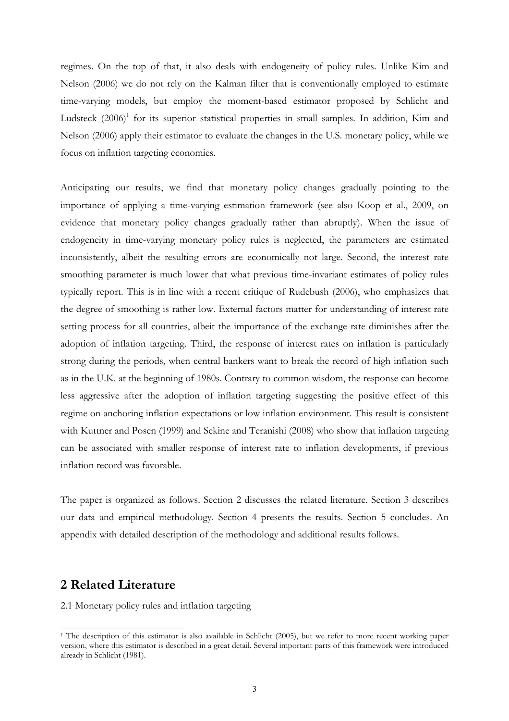regimes. On the top of that, it also deals with endogeneity of policy rules. Unlike Kim and Nelson (2006) we do not rely on the Kalman filter that is conventionally employed to estimate time-varying models, but employ the moment-based estimator proposed by Schlicht and Ludsteck (2006)<sup>1</sup> for its superior statistical properties in small samples. In addition, Kim and Nelson (2006) apply their estimator to evaluate the changes in the U.S. monetary policy, while we focus on inflation targeting economies.

Anticipating our results, we find that monetary policy changes gradually pointing to the importance of applying a time-varying estimation framework (see also Koop et al., 2009, on evidence that monetary policy changes gradually rather than abruptly). When the issue of endogeneity in time-varying monetary policy rules is neglected, the parameters are estimated inconsistently, albeit the resulting errors are economically not large. Second, the interest rate smoothing parameter is much lower that what previous time-invariant estimates of policy rules typically report. This is in line with a recent critique of Rudebush (2006), who emphasizes that the degree of smoothing is rather low. External factors matter for understanding of interest rate setting process for all countries, albeit the importance of the exchange rate diminishes after the adoption of inflation targeting. Third, the response of interest rates on inflation is particularly strong during the periods, when central bankers want to break the record of high inflation such as in the U.K. at the beginning of 1980s. Contrary to common wisdom, the response can become less aggressive after the adoption of inflation targeting suggesting the positive effect of this regime on anchoring inflation expectations or low inflation environment. This result is consistent with Kuttner and Posen (1999) and Sekine and Teranishi (2008) who show that inflation targeting can be associated with smaller response of interest rate to inflation developments, if previous inflation record was favorable.

The paper is organized as follows. Section 2 discusses the related literature. Section 3 describes our data and empirical methodology. Section 4 presents the results. Section 5 concludes. An appendix with detailed description of the methodology and additional results follows.

## **2 Related Literature**

-

2.1 Monetary policy rules and inflation targeting

<sup>&</sup>lt;sup>1</sup> The description of this estimator is also available in Schlicht (2005), but we refer to more recent working paper version, where this estimator is described in a great detail. Several important parts of this framework were introduced already in Schlicht (1981).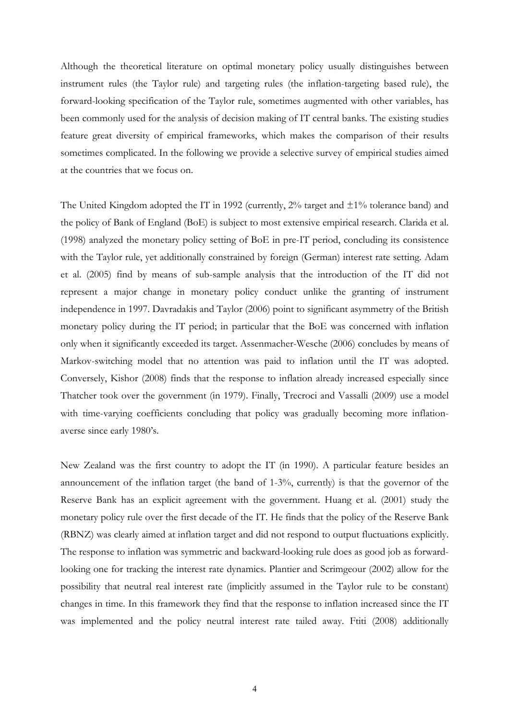Although the theoretical literature on optimal monetary policy usually distinguishes between instrument rules (the Taylor rule) and targeting rules (the inflation-targeting based rule), the forward-looking specification of the Taylor rule, sometimes augmented with other variables, has been commonly used for the analysis of decision making of IT central banks. The existing studies feature great diversity of empirical frameworks, which makes the comparison of their results sometimes complicated. In the following we provide a selective survey of empirical studies aimed at the countries that we focus on.

The United Kingdom adopted the IT in 1992 (currently,  $2\%$  target and  $\pm 1\%$  tolerance band) and the policy of Bank of England (BoE) is subject to most extensive empirical research. Clarida et al. (1998) analyzed the monetary policy setting of BoE in pre-IT period, concluding its consistence with the Taylor rule, yet additionally constrained by foreign (German) interest rate setting. Adam et al. (2005) find by means of sub-sample analysis that the introduction of the IT did not represent a major change in monetary policy conduct unlike the granting of instrument independence in 1997. Davradakis and Taylor (2006) point to significant asymmetry of the British monetary policy during the IT period; in particular that the BoE was concerned with inflation only when it significantly exceeded its target. Assenmacher-Wesche (2006) concludes by means of Markov-switching model that no attention was paid to inflation until the IT was adopted. Conversely, Kishor (2008) finds that the response to inflation already increased especially since Thatcher took over the government (in 1979). Finally, Trecroci and Vassalli (2009) use a model with time-varying coefficients concluding that policy was gradually becoming more inflationaverse since early 1980's.

New Zealand was the first country to adopt the IT (in 1990). A particular feature besides an announcement of the inflation target (the band of 1-3%, currently) is that the governor of the Reserve Bank has an explicit agreement with the government. Huang et al. (2001) study the monetary policy rule over the first decade of the IT. He finds that the policy of the Reserve Bank (RBNZ) was clearly aimed at inflation target and did not respond to output fluctuations explicitly. The response to inflation was symmetric and backward-looking rule does as good job as forwardlooking one for tracking the interest rate dynamics. Plantier and Scrimgeour (2002) allow for the possibility that neutral real interest rate (implicitly assumed in the Taylor rule to be constant) changes in time. In this framework they find that the response to inflation increased since the IT was implemented and the policy neutral interest rate tailed away. Ftiti (2008) additionally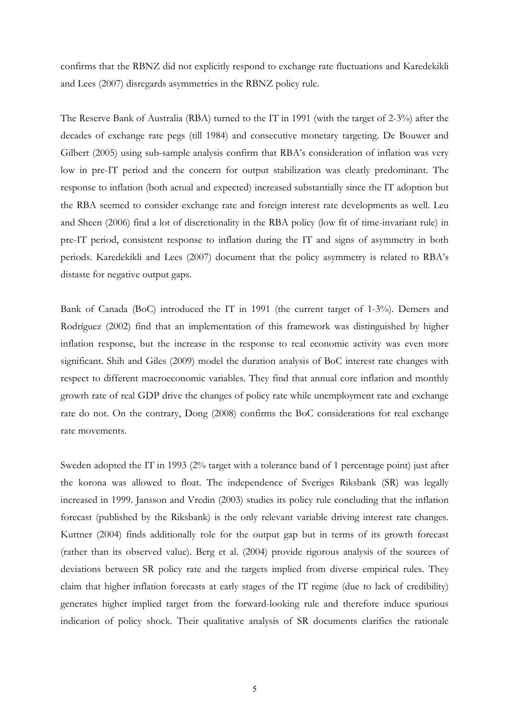confirms that the RBNZ did not explicitly respond to exchange rate fluctuations and Karedekikli and Lees (2007) disregards asymmetries in the RBNZ policy rule.

The Reserve Bank of Australia (RBA) turned to the IT in 1991 (with the target of 2-3%) after the decades of exchange rate pegs (till 1984) and consecutive monetary targeting. De Bouwer and Gilbert (2005) using sub-sample analysis confirm that RBA's consideration of inflation was very low in pre-IT period and the concern for output stabilization was clearly predominant. The response to inflation (both actual and expected) increased substantially since the IT adoption but the RBA seemed to consider exchange rate and foreign interest rate developments as well. Leu and Sheen (2006) find a lot of discretionality in the RBA policy (low fit of time-invariant rule) in pre-IT period, consistent response to inflation during the IT and signs of asymmetry in both periods. Karedekikli and Lees (2007) document that the policy asymmetry is related to RBA's distaste for negative output gaps.

Bank of Canada (BoC) introduced the IT in 1991 (the current target of 1-3%). Demers and Rodríguez (2002) find that an implementation of this framework was distinguished by higher inflation response, but the increase in the response to real economic activity was even more significant. Shih and Giles (2009) model the duration analysis of BoC interest rate changes with respect to different macroeconomic variables. They find that annual core inflation and monthly growth rate of real GDP drive the changes of policy rate while unemployment rate and exchange rate do not. On the contrary, Dong (2008) confirms the BoC considerations for real exchange rate movements.

Sweden adopted the IT in 1993 (2% target with a tolerance band of 1 percentage point) just after the korona was allowed to float. The independence of Sveriges Riksbank (SR) was legally increased in 1999. Jansson and Vredin (2003) studies its policy rule concluding that the inflation forecast (published by the Riksbank) is the only relevant variable driving interest rate changes. Kuttner (2004) finds additionally role for the output gap but in terms of its growth forecast (rather than its observed value). Berg et al. (2004) provide rigorous analysis of the sources of deviations between SR policy rate and the targets implied from diverse empirical rules. They claim that higher inflation forecasts at early stages of the IT regime (due to lack of credibility) generates higher implied target from the forward-looking rule and therefore induce spurious indication of policy shock. Their qualitative analysis of SR documents clarifies the rationale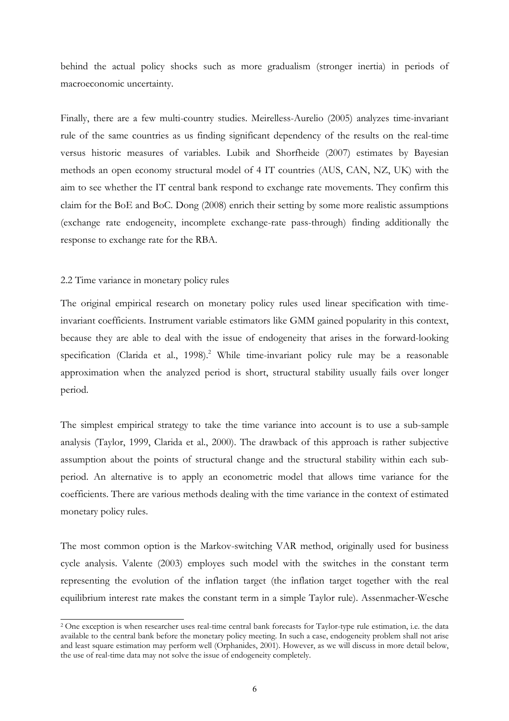behind the actual policy shocks such as more gradualism (stronger inertia) in periods of macroeconomic uncertainty.

Finally, there are a few multi-country studies. Meirelless-Aurelio (2005) analyzes time-invariant rule of the same countries as us finding significant dependency of the results on the real-time versus historic measures of variables. Lubik and Shorfheide (2007) estimates by Bayesian methods an open economy structural model of 4 IT countries (AUS, CAN, NZ, UK) with the aim to see whether the IT central bank respond to exchange rate movements. They confirm this claim for the BoE and BoC. Dong (2008) enrich their setting by some more realistic assumptions (exchange rate endogeneity, incomplete exchange-rate pass-through) finding additionally the response to exchange rate for the RBA.

#### 2.2 Time variance in monetary policy rules

-

The original empirical research on monetary policy rules used linear specification with timeinvariant coefficients. Instrument variable estimators like GMM gained popularity in this context, because they are able to deal with the issue of endogeneity that arises in the forward-looking specification (Clarida et al., 1998).<sup>2</sup> While time-invariant policy rule may be a reasonable approximation when the analyzed period is short, structural stability usually fails over longer period.

The simplest empirical strategy to take the time variance into account is to use a sub-sample analysis (Taylor, 1999, Clarida et al., 2000). The drawback of this approach is rather subjective assumption about the points of structural change and the structural stability within each subperiod. An alternative is to apply an econometric model that allows time variance for the coefficients. There are various methods dealing with the time variance in the context of estimated monetary policy rules.

The most common option is the Markov-switching VAR method, originally used for business cycle analysis. Valente (2003) employes such model with the switches in the constant term representing the evolution of the inflation target (the inflation target together with the real equilibrium interest rate makes the constant term in a simple Taylor rule). Assenmacher-Wesche

<sup>2</sup> One exception is when researcher uses real-time central bank forecasts for Taylor-type rule estimation, i.e. the data available to the central bank before the monetary policy meeting. In such a case, endogeneity problem shall not arise and least square estimation may perform well (Orphanides, 2001). However, as we will discuss in more detail below, the use of real-time data may not solve the issue of endogeneity completely.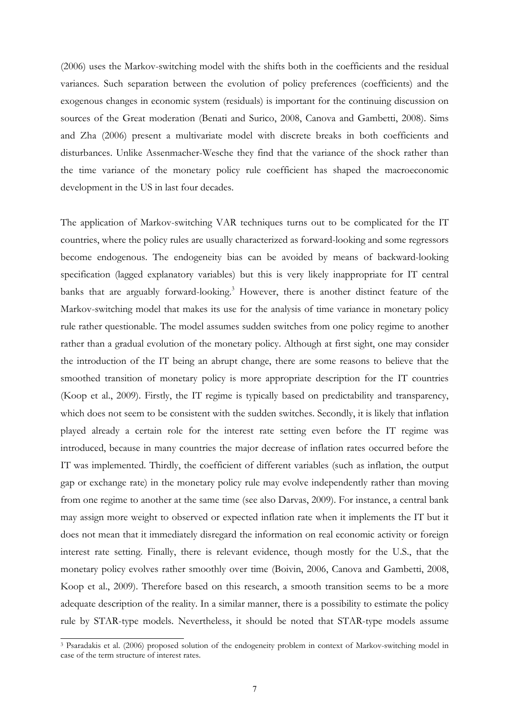(2006) uses the Markov-switching model with the shifts both in the coefficients and the residual variances. Such separation between the evolution of policy preferences (coefficients) and the exogenous changes in economic system (residuals) is important for the continuing discussion on sources of the Great moderation (Benati and Surico, 2008, Canova and Gambetti, 2008). Sims and Zha (2006) present a multivariate model with discrete breaks in both coefficients and disturbances. Unlike Assenmacher-Wesche they find that the variance of the shock rather than the time variance of the monetary policy rule coefficient has shaped the macroeconomic development in the US in last four decades.

The application of Markov-switching VAR techniques turns out to be complicated for the IT countries, where the policy rules are usually characterized as forward-looking and some regressors become endogenous. The endogeneity bias can be avoided by means of backward-looking specification (lagged explanatory variables) but this is very likely inappropriate for IT central banks that are arguably forward-looking.<sup>3</sup> However, there is another distinct feature of the Markov-switching model that makes its use for the analysis of time variance in monetary policy rule rather questionable. The model assumes sudden switches from one policy regime to another rather than a gradual evolution of the monetary policy. Although at first sight, one may consider the introduction of the IT being an abrupt change, there are some reasons to believe that the smoothed transition of monetary policy is more appropriate description for the IT countries (Koop et al., 2009). Firstly, the IT regime is typically based on predictability and transparency, which does not seem to be consistent with the sudden switches. Secondly, it is likely that inflation played already a certain role for the interest rate setting even before the IT regime was introduced, because in many countries the major decrease of inflation rates occurred before the IT was implemented. Thirdly, the coefficient of different variables (such as inflation, the output gap or exchange rate) in the monetary policy rule may evolve independently rather than moving from one regime to another at the same time (see also Darvas, 2009). For instance, a central bank may assign more weight to observed or expected inflation rate when it implements the IT but it does not mean that it immediately disregard the information on real economic activity or foreign interest rate setting. Finally, there is relevant evidence, though mostly for the U.S., that the monetary policy evolves rather smoothly over time (Boivin, 2006, Canova and Gambetti, 2008, Koop et al., 2009). Therefore based on this research, a smooth transition seems to be a more adequate description of the reality. In a similar manner, there is a possibility to estimate the policy rule by STAR-type models. Nevertheless, it should be noted that STAR-type models assume

-

<sup>3</sup> Psaradakis et al. (2006) proposed solution of the endogeneity problem in context of Markov-switching model in case of the term structure of interest rates.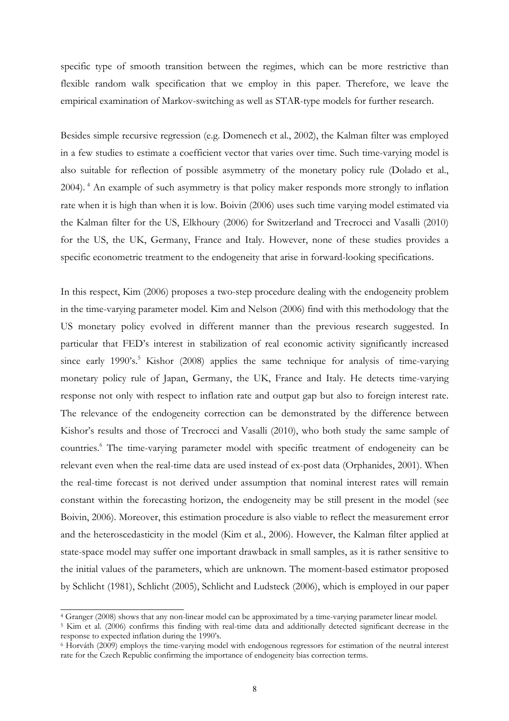specific type of smooth transition between the regimes, which can be more restrictive than flexible random walk specification that we employ in this paper. Therefore, we leave the empirical examination of Markov-switching as well as STAR-type models for further research.

Besides simple recursive regression (e.g. Domenech et al., 2002), the Kalman filter was employed in a few studies to estimate a coefficient vector that varies over time. Such time-varying model is also suitable for reflection of possible asymmetry of the monetary policy rule (Dolado et al., 2004). 4 An example of such asymmetry is that policy maker responds more strongly to inflation rate when it is high than when it is low. Boivin (2006) uses such time varying model estimated via the Kalman filter for the US, Elkhoury (2006) for Switzerland and Trecrocci and Vasalli (2010) for the US, the UK, Germany, France and Italy. However, none of these studies provides a specific econometric treatment to the endogeneity that arise in forward-looking specifications.

In this respect, Kim (2006) proposes a two-step procedure dealing with the endogeneity problem in the time-varying parameter model. Kim and Nelson (2006) find with this methodology that the US monetary policy evolved in different manner than the previous research suggested. In particular that FED's interest in stabilization of real economic activity significantly increased since early 1990's.<sup>5</sup> Kishor (2008) applies the same technique for analysis of time-varying monetary policy rule of Japan, Germany, the UK, France and Italy. He detects time-varying response not only with respect to inflation rate and output gap but also to foreign interest rate. The relevance of the endogeneity correction can be demonstrated by the difference between Kishor's results and those of Trecrocci and Vasalli (2010), who both study the same sample of countries.<sup>6</sup> The time-varying parameter model with specific treatment of endogeneity can be relevant even when the real-time data are used instead of ex-post data (Orphanides, 2001). When the real-time forecast is not derived under assumption that nominal interest rates will remain constant within the forecasting horizon, the endogeneity may be still present in the model (see Boivin, 2006). Moreover, this estimation procedure is also viable to reflect the measurement error and the heteroscedasticity in the model (Kim et al., 2006). However, the Kalman filter applied at state-space model may suffer one important drawback in small samples, as it is rather sensitive to the initial values of the parameters, which are unknown. The moment-based estimator proposed by Schlicht (1981), Schlicht (2005), Schlicht and Ludsteck (2006), which is employed in our paper

<u>.</u>

<sup>&</sup>lt;sup>4</sup> Granger (2008) shows that any non-linear model can be approximated by a time-varying parameter linear model.<br><sup>5</sup> Kim et al. (2006) confirms this finding with real-time data and additionally detected significant decreas response to expected inflation during the 1990's.

<sup>6</sup> Horváth (2009) employs the time-varying model with endogenous regressors for estimation of the neutral interest rate for the Czech Republic confirming the importance of endogeneity bias correction terms.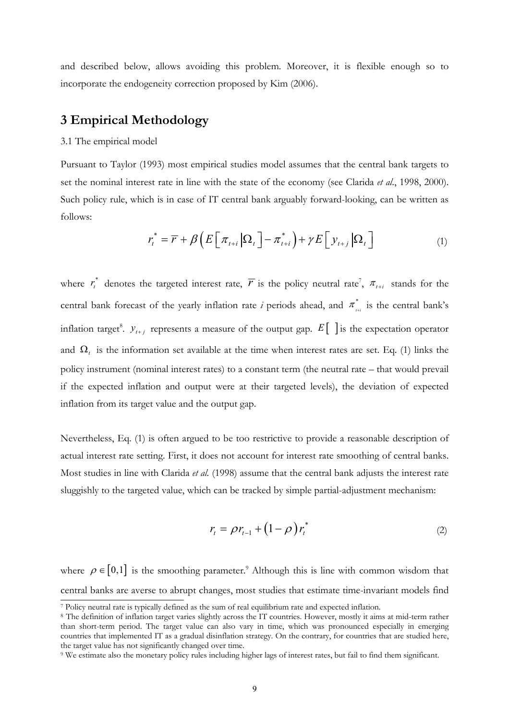and described below, allows avoiding this problem. Moreover, it is flexible enough so to incorporate the endogeneity correction proposed by Kim (2006).

# **3 Empirical Methodology**

#### 3.1 The empirical model

Pursuant to Taylor (1993) most empirical studies model assumes that the central bank targets to set the nominal interest rate in line with the state of the economy (see Clarida *et al*., 1998, 2000). Such policy rule, which is in case of IT central bank arguably forward-looking, can be written as follows:

$$
r_t^* = \overline{r} + \beta \left( E \left[ \pi_{t+i} \left| \Omega_t \right] - \pi_{t+i}^* \right) + \gamma E \left[ \gamma_{t+j} \left| \Omega_t \right] \right) \tag{1}
$$

where  $r_t^*$  denotes the targeted interest rate,  $\overline{r}$  is the policy neutral rate<sup>7</sup>,  $\pi_{t+i}$  stands for the central bank forecast of the yearly inflation rate *i* periods ahead, and  $\pi_{\scriptscriptstyle{H\bar{i}}}^{*}$  is the central bank's inflation target<sup>8</sup>.  $y_{i+j}$  represents a measure of the output gap.  $E[\ ]$  is the expectation operator and  $\Omega$ <sub>t</sub> is the information set available at the time when interest rates are set. Eq. (1) links the policy instrument (nominal interest rates) to a constant term (the neutral rate – that would prevail if the expected inflation and output were at their targeted levels), the deviation of expected inflation from its target value and the output gap.

Nevertheless, Eq. (1) is often argued to be too restrictive to provide a reasonable description of actual interest rate setting. First, it does not account for interest rate smoothing of central banks. Most studies in line with Clarida *et al.* (1998) assume that the central bank adjusts the interest rate sluggishly to the targeted value, which can be tracked by simple partial-adjustment mechanism:

$$
r_t = \rho r_{t-1} + (1 - \rho) r_t^*
$$
\n<sup>(2)</sup>

where  $\rho \in [0,1]$  is the smoothing parameter.<sup>9</sup> Although this is line with common wisdom that central banks are averse to abrupt changes, most studies that estimate time-invariant models find -

<sup>7</sup> Policy neutral rate is typically defined as the sum of real equilibrium rate and expected inflation. 8 The definition of inflation target varies slightly across the IT countries. However, mostly it aims at mid-term rather

than short-term period. The target value can also vary in time, which was pronounced especially in emerging countries that implemented IT as a gradual disinflation strategy. On the contrary, for countries that are studied here, the target value has not significantly changed over time.

<sup>9</sup> We estimate also the monetary policy rules including higher lags of interest rates, but fail to find them significant.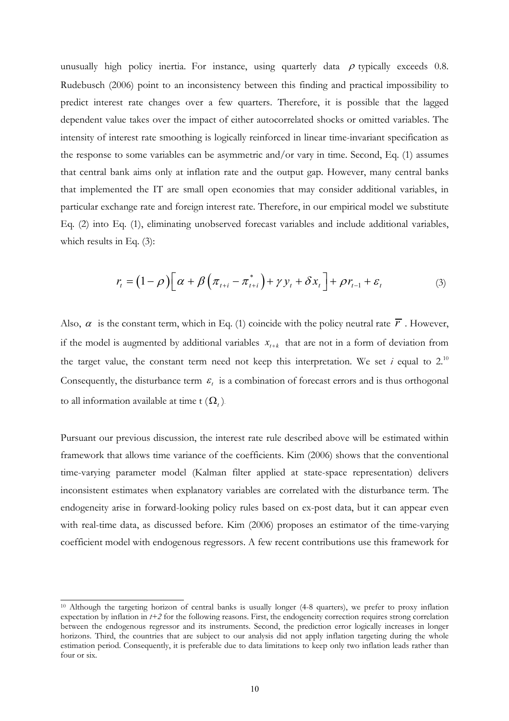unusually high policy inertia. For instance, using quarterly data  $\rho$  typically exceeds 0.8. Rudebusch (2006) point to an inconsistency between this finding and practical impossibility to predict interest rate changes over a few quarters. Therefore, it is possible that the lagged dependent value takes over the impact of either autocorrelated shocks or omitted variables. The intensity of interest rate smoothing is logically reinforced in linear time-invariant specification as the response to some variables can be asymmetric and/or vary in time. Second, Eq. (1) assumes that central bank aims only at inflation rate and the output gap. However, many central banks that implemented the IT are small open economies that may consider additional variables, in particular exchange rate and foreign interest rate. Therefore, in our empirical model we substitute Eq. (2) into Eq. (1), eliminating unobserved forecast variables and include additional variables, which results in Eq. (3):

$$
r_{t} = (1 - \rho) \left[ \alpha + \beta \left( \pi_{t+i} - \pi_{t+i}^{*} \right) + \gamma y_{t} + \delta x_{t} \right] + \rho r_{t-1} + \varepsilon_{t}
$$
 (3)

Also,  $\alpha$  is the constant term, which in Eq. (1) coincide with the policy neutral rate  $\overline{r}$ . However, if the model is augmented by additional variables  $x_{t+k}$  that are not in a form of deviation from the target value, the constant term need not keep this interpretation. We set  $i$  equal to  $2^{10}$ Consequently, the disturbance term  $\varepsilon$  is a combination of forecast errors and is thus orthogonal to all information available at time t  $(\Omega_t)$ .

Pursuant our previous discussion, the interest rate rule described above will be estimated within framework that allows time variance of the coefficients. Kim (2006) shows that the conventional time-varying parameter model (Kalman filter applied at state-space representation) delivers inconsistent estimates when explanatory variables are correlated with the disturbance term. The endogeneity arise in forward-looking policy rules based on ex-post data, but it can appear even with real-time data, as discussed before. Kim (2006) proposes an estimator of the time-varying coefficient model with endogenous regressors. A few recent contributions use this framework for

-

<sup>&</sup>lt;sup>10</sup> Although the targeting horizon of central banks is usually longer (4-8 quarters), we prefer to proxy inflation expectation by inflation in *t+2* for the following reasons. First, the endogeneity correction requires strong correlation between the endogenous regressor and its instruments. Second, the prediction error logically increases in longer horizons. Third, the countries that are subject to our analysis did not apply inflation targeting during the whole estimation period. Consequently, it is preferable due to data limitations to keep only two inflation leads rather than four or six.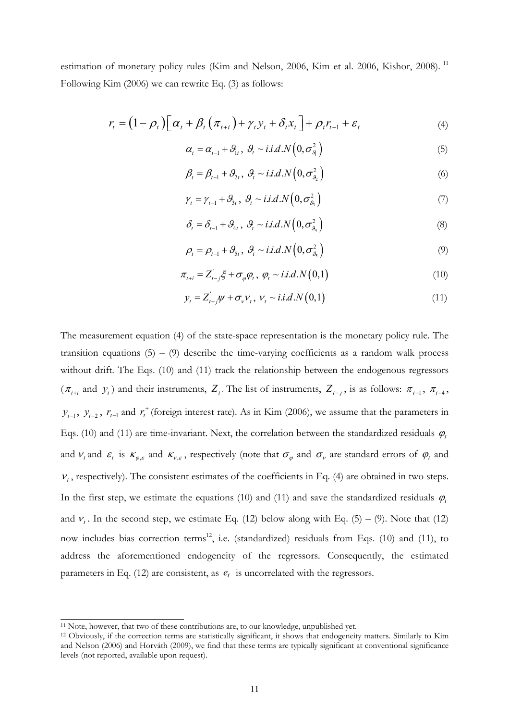estimation of monetary policy rules (Kim and Nelson, 2006, Kim et al. 2006, Kishor, 2008).<sup>11</sup> Following Kim (2006) we can rewrite Eq. (3) as follows:

$$
r_{t} = (1 - \rho_{t}) \left[ \alpha_{t} + \beta_{t} \left( \pi_{t+i} \right) + \gamma_{t} y_{t} + \delta_{t} x_{t} \right] + \rho_{t} r_{t-1} + \varepsilon_{t}
$$
\n
$$
\tag{4}
$$

$$
\alpha_t = \alpha_{t-1} + \mathcal{G}_{1t}, \ \mathcal{G}_t \sim i.i.d.N\left(0, \sigma_{\mathcal{G}_t}^2\right) \tag{5}
$$

$$
\beta_t = \beta_{t-1} + \mathcal{S}_{2t}, \ \mathcal{S}_t \sim i.i.d.N\left(0, \sigma_{\mathcal{S}_2}^2\right) \tag{6}
$$

$$
\gamma_t = \gamma_{t-1} + \mathcal{G}_{3t}, \ \mathcal{G}_t \sim i.i.d.N\left(0, \sigma_{\mathcal{G}_3}^2\right) \tag{7}
$$

$$
\delta_t = \delta_{t-1} + \mathcal{G}_{4t}, \ \mathcal{G}_t \sim i.i.d. N\left(0, \sigma_{\mathcal{G}_4}^2\right) \tag{8}
$$

$$
\rho_t = \rho_{t-1} + \mathcal{G}_{5t}, \ \mathcal{G}_t \sim i.i.d.N\Big(0, \sigma_{\mathcal{G}_5}^2\Big) \tag{9}
$$

$$
\pi_{t+i} = Z_{t-j}^{\dagger} \xi + \sigma_{\varphi} \varphi_t, \ \varphi_t \sim i.i.d.N(0,1)
$$
\n
$$
(10)
$$

$$
y_t = Z_{t-j}'\psi + \sigma_v \nu_t, \ \nu_t \sim i.i.d.N(0,1)
$$
\n
$$
(11)
$$

The measurement equation (4) of the state-space representation is the monetary policy rule. The transition equations  $(5) - (9)$  describe the time-varying coefficients as a random walk process without drift. The Eqs. (10) and (11) track the relationship between the endogenous regressors  $(\pi_{t+i}$  and  $y_t$ ) and their instruments,  $Z_t$ . The list of instruments,  $Z_{t-j}$ , is as follows:  $\pi_{t-1}$ ,  $\pi_{t-4}$ ,  $y_{t-1}$ ,  $y_{t-2}$ ,  $r_{t-1}$  and  $r_t^+$  (foreign interest rate). As in Kim (2006), we assume that the parameters in Eqs. (10) and (11) are time-invariant. Next, the correlation between the standardized residuals  $\varphi_t$ and  $v_t$  and  $\varepsilon_t$  is  $\kappa_{\varphi,\varepsilon}$  and  $\kappa_{v,\varepsilon}$ , respectively (note that  $\sigma_{\varphi}$  and  $\sigma_{v}$  are standard errors of  $\varphi_t$  and  $v_t$ , respectively). The consistent estimates of the coefficients in Eq. (4) are obtained in two steps. In the first step, we estimate the equations (10) and (11) and save the standardized residuals  $\varphi_t$ and  $v_t$ . In the second step, we estimate Eq. (12) below along with Eq. (5) – (9). Note that (12) now includes bias correction terms<sup>12</sup>, i.e. (standardized) residuals from Eqs. (10) and (11), to address the aforementioned endogeneity of the regressors. Consequently, the estimated parameters in Eq. (12) are consistent, as  $e_t$  is uncorrelated with the regressors.

<sup>&</sup>lt;sup>11</sup> Note, however, that two of these contributions are, to our knowledge, unpublished yet.

<sup>&</sup>lt;sup>12</sup> Obviously, if the correction terms are statistically significant, it shows that endogeneity matters. Similarly to Kim and Nelson (2006) and Horváth (2009), we find that these terms are typically significant at conventional significance levels (not reported, available upon request).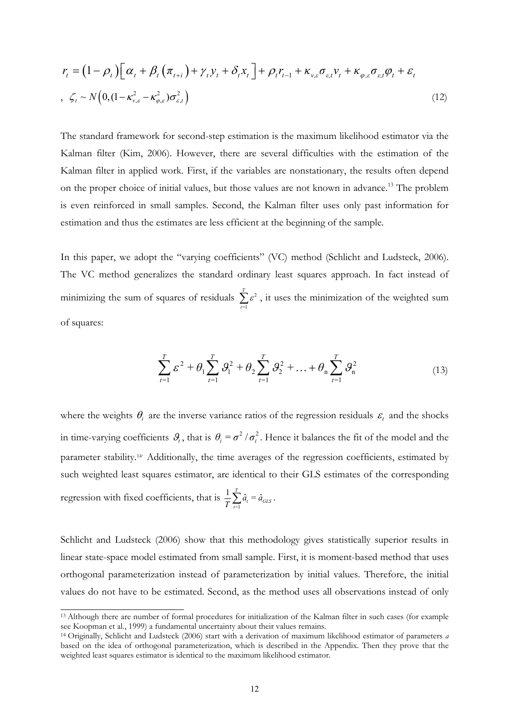$$
r_{t} = (1 - \rho_{t}) \Big[ \alpha_{t} + \beta_{t} \left( \pi_{t+i} \right) + \gamma_{t} y_{t} + \delta_{t} x_{t} \Big] + \rho_{t} r_{t-1} + \kappa_{v,\varepsilon} \sigma_{\varepsilon,t} v_{t} + \kappa_{\varphi,\varepsilon} \sigma_{\varepsilon,t} \varphi_{t} + \varepsilon_{t}
$$
  
,  $\zeta_{t} \sim N \Big( 0, (1 - \kappa_{v,\varepsilon}^{2} - \kappa_{\varphi,\varepsilon}^{2}) \sigma_{\varepsilon,t}^{2} \Big)$  (12)

The standard framework for second-step estimation is the maximum likelihood estimator via the Kalman filter (Kim, 2006). However, there are several difficulties with the estimation of the Kalman filter in applied work. First, if the variables are nonstationary, the results often depend on the proper choice of initial values, but those values are not known in advance.<sup>13</sup> The problem is even reinforced in small samples. Second, the Kalman filter uses only past information for estimation and thus the estimates are less efficient at the beginning of the sample.

In this paper, we adopt the "varying coefficients" (VC) method (Schlicht and Ludsteck, 2006). The VC method generalizes the standard ordinary least squares approach. In fact instead of minimizing the sum of squares of residuals  $\sum_{t=1}^{\infty} \varepsilon^2$ *T*  $\sum_{t=1}^{\infty} \varepsilon^2$ , it uses the minimization of the weighted sum of squares:

$$
\sum_{t=1}^{T} \mathcal{E}^{2} + \theta_{1} \sum_{t=1}^{T} \mathcal{G}_{1}^{2} + \theta_{2} \sum_{t=1}^{T} \mathcal{G}_{2}^{2} + \dots + \theta_{n} \sum_{t=1}^{T} \mathcal{G}_{n}^{2}
$$
(13)

where the weights  $\theta_i$  are the inverse variance ratios of the regression residuals  $\varepsilon_i$  and the shocks in time-varying coefficients  $\theta_i$ , that is  $\theta_i = \sigma^2 / \sigma_i^2$ . Hence it balances the fit of the model and the parameter stability.<sup>14</sup> Additionally, the time averages of the regression coefficients, estimated by such weighted least squares estimator, are identical to their GLS estimates of the corresponding regression with fixed coefficients, that is  $\frac{1}{T}\sum_{t=1}^{T}$  $\frac{1}{T}\sum_{t=1}^T \hat{a}_t = \hat{a}_{GLS}$  $\frac{1}{T}\sum_{t=1}\hat{a}_t^{}=\hat{a}_{GLS}^{}\,.$ 

Schlicht and Ludsteck (2006) show that this methodology gives statistically superior results in linear state-space model estimated from small sample. First, it is moment-based method that uses orthogonal parameterization instead of parameterization by initial values. Therefore, the initial values do not have to be estimated. Second, as the method uses all observations instead of only

<u>.</u>

<sup>13</sup> Although there are number of formal procedures for initialization of the Kalman filter in such cases (for example see Koopman et al., 1999) a fundamental uncertainty about their values remains. 14 Originally, Schlicht and Ludsteck (2006) start with a derivation of maximum likelihood estimator of parameters *<sup>a</sup>*

based on the idea of orthogonal parameterization, which is described in the Appendix. Then they prove that the weighted least squares estimator is identical to the maximum likelihood estimator.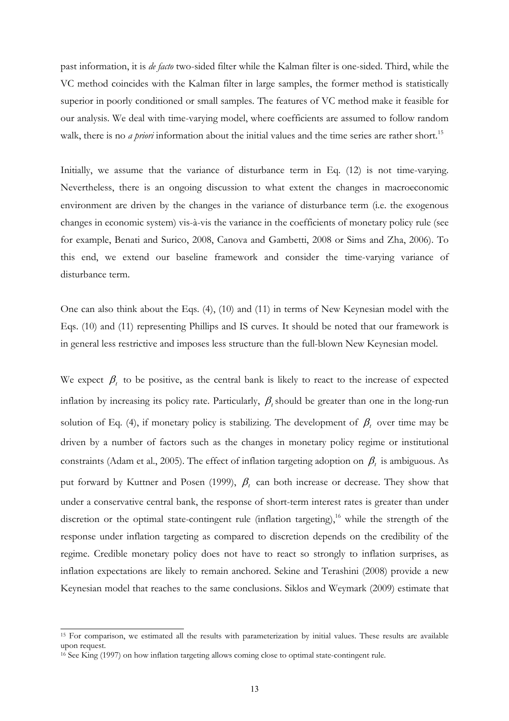past information, it is *de facto* two-sided filter while the Kalman filter is one-sided. Third, while the VC method coincides with the Kalman filter in large samples, the former method is statistically superior in poorly conditioned or small samples. The features of VC method make it feasible for our analysis. We deal with time-varying model, where coefficients are assumed to follow random walk, there is no *a priori* information about the initial values and the time series are rather short.<sup>15</sup>

Initially, we assume that the variance of disturbance term in Eq. (12) is not time-varying. Nevertheless, there is an ongoing discussion to what extent the changes in macroeconomic environment are driven by the changes in the variance of disturbance term (i.e. the exogenous changes in economic system) vis-à-vis the variance in the coefficients of monetary policy rule (see for example, Benati and Surico, 2008, Canova and Gambetti, 2008 or Sims and Zha, 2006). To this end, we extend our baseline framework and consider the time-varying variance of disturbance term.

One can also think about the Eqs. (4), (10) and (11) in terms of New Keynesian model with the Eqs. (10) and (11) representing Phillips and IS curves. It should be noted that our framework is in general less restrictive and imposes less structure than the full-blown New Keynesian model.

We expect  $\beta_t$  to be positive, as the central bank is likely to react to the increase of expected inflation by increasing its policy rate. Particularly,  $\beta_t$  should be greater than one in the long-run solution of Eq. (4), if monetary policy is stabilizing. The development of  $\beta_t$  over time may be driven by a number of factors such as the changes in monetary policy regime or institutional constraints (Adam et al., 2005). The effect of inflation targeting adoption on  $\beta_t$  is ambiguous. As put forward by Kuttner and Posen (1999),  $\beta_t$  can both increase or decrease. They show that under a conservative central bank, the response of short-term interest rates is greater than under discretion or the optimal state-contingent rule (inflation targeting),<sup>16</sup> while the strength of the response under inflation targeting as compared to discretion depends on the credibility of the regime. Credible monetary policy does not have to react so strongly to inflation surprises, as inflation expectations are likely to remain anchored. Sekine and Terashini (2008) provide a new Keynesian model that reaches to the same conclusions. Siklos and Weymark (2009) estimate that

<sup>&</sup>lt;sup>15</sup> For comparison, we estimated all the results with parameterization by initial values. These results are available upon request.

<sup>&</sup>lt;sup>16</sup> See King (1997) on how inflation targeting allows coming close to optimal state-contingent rule.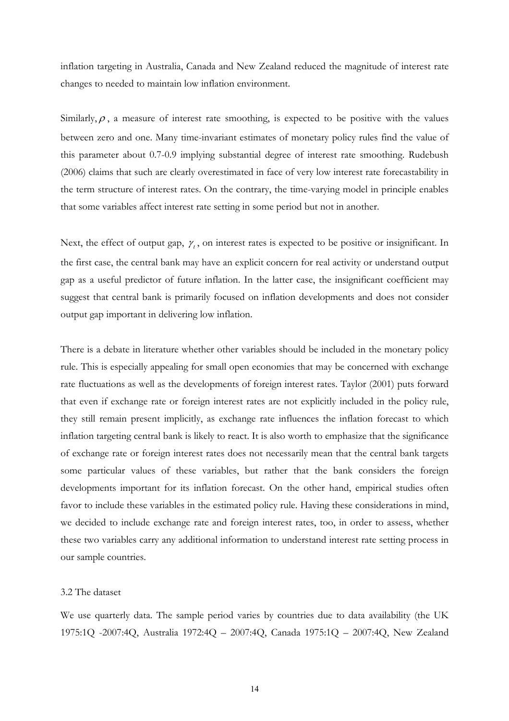inflation targeting in Australia, Canada and New Zealand reduced the magnitude of interest rate changes to needed to maintain low inflation environment.

Similarly,  $\rho$ , a measure of interest rate smoothing, is expected to be positive with the values between zero and one. Many time-invariant estimates of monetary policy rules find the value of this parameter about 0.7-0.9 implying substantial degree of interest rate smoothing. Rudebush (2006) claims that such are clearly overestimated in face of very low interest rate forecastability in the term structure of interest rates. On the contrary, the time-varying model in principle enables that some variables affect interest rate setting in some period but not in another.

Next, the effect of output gap,  $\gamma_t$ , on interest rates is expected to be positive or insignificant. In the first case, the central bank may have an explicit concern for real activity or understand output gap as a useful predictor of future inflation. In the latter case, the insignificant coefficient may suggest that central bank is primarily focused on inflation developments and does not consider output gap important in delivering low inflation.

There is a debate in literature whether other variables should be included in the monetary policy rule. This is especially appealing for small open economies that may be concerned with exchange rate fluctuations as well as the developments of foreign interest rates. Taylor (2001) puts forward that even if exchange rate or foreign interest rates are not explicitly included in the policy rule, they still remain present implicitly, as exchange rate influences the inflation forecast to which inflation targeting central bank is likely to react. It is also worth to emphasize that the significance of exchange rate or foreign interest rates does not necessarily mean that the central bank targets some particular values of these variables, but rather that the bank considers the foreign developments important for its inflation forecast. On the other hand, empirical studies often favor to include these variables in the estimated policy rule. Having these considerations in mind, we decided to include exchange rate and foreign interest rates, too, in order to assess, whether these two variables carry any additional information to understand interest rate setting process in our sample countries.

#### 3.2 The dataset

We use quarterly data. The sample period varies by countries due to data availability (the UK 1975:1Q -2007:4Q, Australia 1972:4Q – 2007:4Q, Canada 1975:1Q – 2007:4Q, New Zealand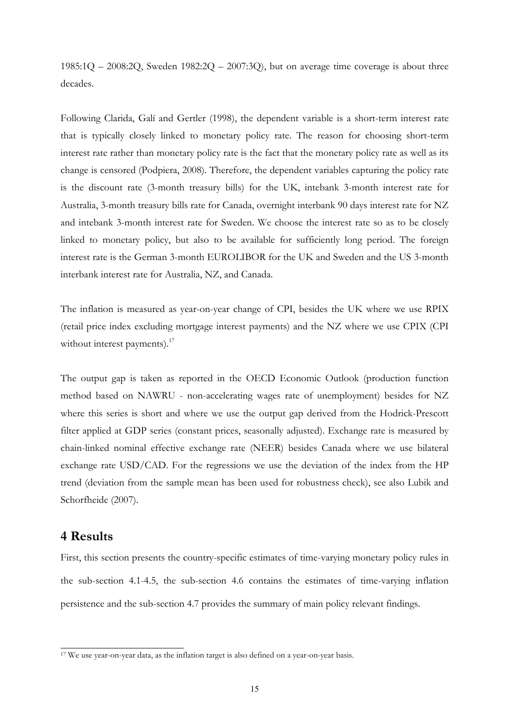1985:1Q  $-$  2008:2Q, Sweden 1982:2Q  $-$  2007:3Q), but on average time coverage is about three decades.

Following Clarida, Galí and Gertler (1998), the dependent variable is a short-term interest rate that is typically closely linked to monetary policy rate. The reason for choosing short-term interest rate rather than monetary policy rate is the fact that the monetary policy rate as well as its change is censored (Podpiera, 2008). Therefore, the dependent variables capturing the policy rate is the discount rate (3-month treasury bills) for the UK, intebank 3-month interest rate for Australia, 3-month treasury bills rate for Canada, overnight interbank 90 days interest rate for NZ and intebank 3-month interest rate for Sweden. We choose the interest rate so as to be closely linked to monetary policy, but also to be available for sufficiently long period. The foreign interest rate is the German 3-month EUROLIBOR for the UK and Sweden and the US 3-month interbank interest rate for Australia, NZ, and Canada.

The inflation is measured as year-on-year change of CPI, besides the UK where we use RPIX (retail price index excluding mortgage interest payments) and the NZ where we use CPIX (CPI without interest payments).<sup>17</sup>

The output gap is taken as reported in the OECD Economic Outlook (production function method based on NAWRU - non-accelerating wages rate of unemployment) besides for NZ where this series is short and where we use the output gap derived from the Hodrick-Prescott filter applied at GDP series (constant prices, seasonally adjusted). Exchange rate is measured by chain-linked nominal effective exchange rate (NEER) besides Canada where we use bilateral exchange rate USD/CAD. For the regressions we use the deviation of the index from the HP trend (deviation from the sample mean has been used for robustness check), see also Lubik and Schorfheide (2007).

### **4 Results**

First, this section presents the country-specific estimates of time-varying monetary policy rules in the sub-section 4.1-4.5, the sub-section 4.6 contains the estimates of time-varying inflation persistence and the sub-section 4.7 provides the summary of main policy relevant findings.

 $\frac{17}{17}$  We use year-on-year data, as the inflation target is also defined on a year-on-year basis.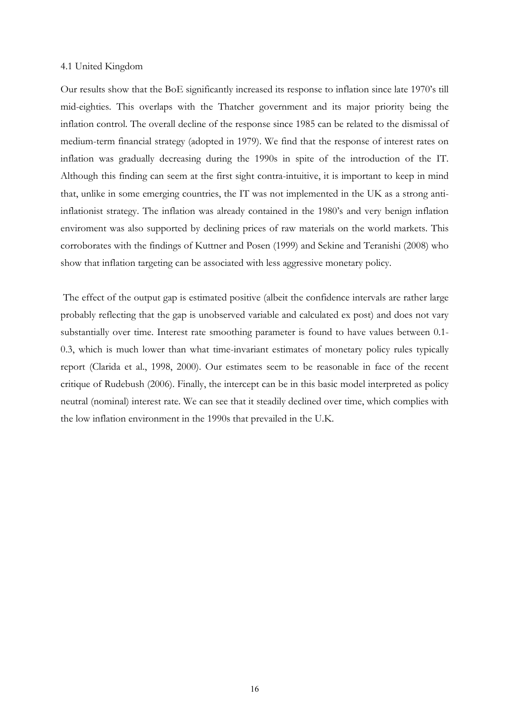#### 4.1 United Kingdom

Our results show that the BoE significantly increased its response to inflation since late 1970's till mid-eighties. This overlaps with the Thatcher government and its major priority being the inflation control. The overall decline of the response since 1985 can be related to the dismissal of medium-term financial strategy (adopted in 1979). We find that the response of interest rates on inflation was gradually decreasing during the 1990s in spite of the introduction of the IT. Although this finding can seem at the first sight contra-intuitive, it is important to keep in mind that, unlike in some emerging countries, the IT was not implemented in the UK as a strong antiinflationist strategy. The inflation was already contained in the 1980's and very benign inflation enviroment was also supported by declining prices of raw materials on the world markets. This corroborates with the findings of Kuttner and Posen (1999) and Sekine and Teranishi (2008) who show that inflation targeting can be associated with less aggressive monetary policy.

 The effect of the output gap is estimated positive (albeit the confidence intervals are rather large probably reflecting that the gap is unobserved variable and calculated ex post) and does not vary substantially over time. Interest rate smoothing parameter is found to have values between 0.1- 0.3, which is much lower than what time-invariant estimates of monetary policy rules typically report (Clarida et al., 1998, 2000). Our estimates seem to be reasonable in face of the recent critique of Rudebush (2006). Finally, the intercept can be in this basic model interpreted as policy neutral (nominal) interest rate. We can see that it steadily declined over time, which complies with the low inflation environment in the 1990s that prevailed in the U.K.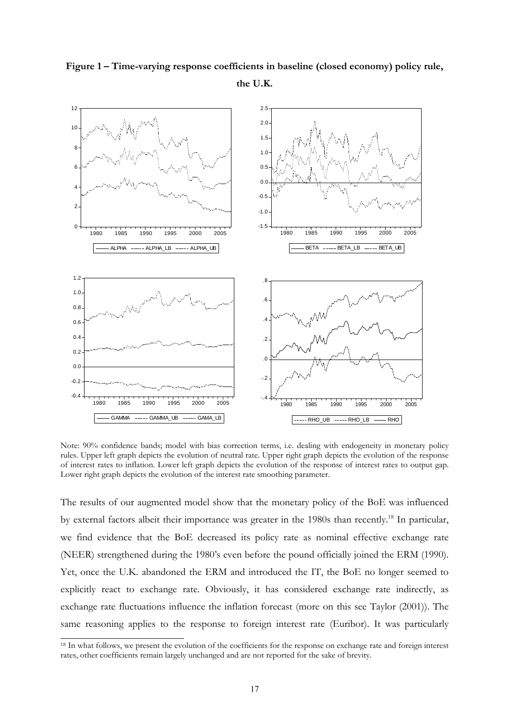

**Figure 1 – Time-varying response coefficients in baseline (closed economy) policy rule, the U.K.** 

Note: 90% confidence bands; model with bias correction terms, i.e. dealing with endogeneity in monetary policy rules. Upper left graph depicts the evolution of neutral rate. Upper right graph depicts the evolution of the response of interest rates to inflation. Lower left graph depicts the evolution of the response of interest rates to output gap. Lower right graph depicts the evolution of the interest rate smoothing parameter.

The results of our augmented model show that the monetary policy of the BoE was influenced by external factors albeit their importance was greater in the 1980s than recently.18 In particular, we find evidence that the BoE decreased its policy rate as nominal effective exchange rate (NEER) strengthened during the 1980's even before the pound officially joined the ERM (1990). Yet, once the U.K. abandoned the ERM and introduced the IT, the BoE no longer seemed to explicitly react to exchange rate. Obviously, it has considered exchange rate indirectly, as exchange rate fluctuations influence the inflation forecast (more on this see Taylor (2001)). The same reasoning applies to the response to foreign interest rate (Euribor). It was particularly

<sup>&</sup>lt;sup>18</sup> In what follows, we present the evolution of the coefficients for the response on exchange rate and foreign interest rates, other coefficients remain largely unchanged and are not reported for the sake of brevity.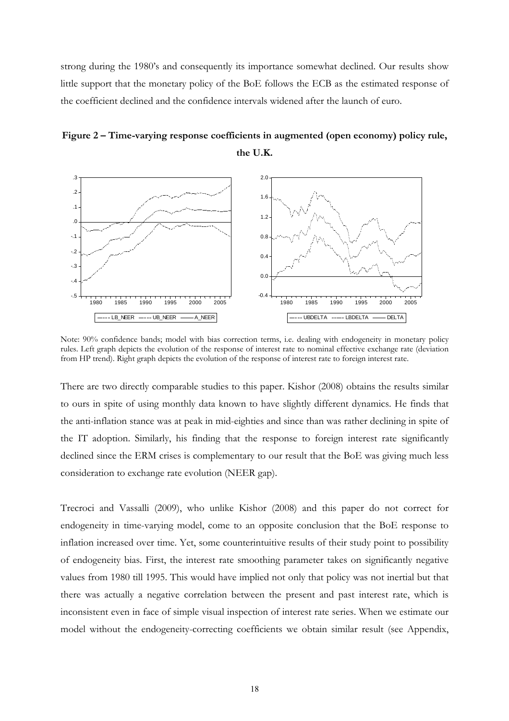strong during the 1980's and consequently its importance somewhat declined. Our results show little support that the monetary policy of the BoE follows the ECB as the estimated response of the coefficient declined and the confidence intervals widened after the launch of euro.





Note: 90% confidence bands; model with bias correction terms, i.e. dealing with endogeneity in monetary policy rules. Left graph depicts the evolution of the response of interest rate to nominal effective exchange rate (deviation from HP trend). Right graph depicts the evolution of the response of interest rate to foreign interest rate.

There are two directly comparable studies to this paper. Kishor (2008) obtains the results similar to ours in spite of using monthly data known to have slightly different dynamics. He finds that the anti-inflation stance was at peak in mid-eighties and since than was rather declining in spite of the IT adoption. Similarly, his finding that the response to foreign interest rate significantly declined since the ERM crises is complementary to our result that the BoE was giving much less consideration to exchange rate evolution (NEER gap).

Trecroci and Vassalli (2009), who unlike Kishor (2008) and this paper do not correct for endogeneity in time-varying model, come to an opposite conclusion that the BoE response to inflation increased over time. Yet, some counterintuitive results of their study point to possibility of endogeneity bias. First, the interest rate smoothing parameter takes on significantly negative values from 1980 till 1995. This would have implied not only that policy was not inertial but that there was actually a negative correlation between the present and past interest rate, which is inconsistent even in face of simple visual inspection of interest rate series. When we estimate our model without the endogeneity-correcting coefficients we obtain similar result (see Appendix,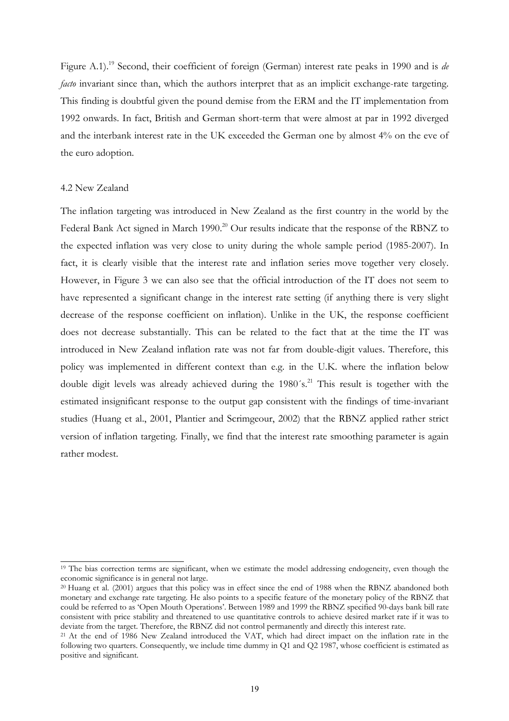Figure A.1).19 Second, their coefficient of foreign (German) interest rate peaks in 1990 and is *de facto* invariant since than, which the authors interpret that as an implicit exchange-rate targeting. This finding is doubtful given the pound demise from the ERM and the IT implementation from 1992 onwards. In fact, British and German short-term that were almost at par in 1992 diverged and the interbank interest rate in the UK exceeded the German one by almost 4% on the eve of the euro adoption.

#### 4.2 New Zealand

-

The inflation targeting was introduced in New Zealand as the first country in the world by the Federal Bank Act signed in March 1990.<sup>20</sup> Our results indicate that the response of the RBNZ to the expected inflation was very close to unity during the whole sample period (1985-2007). In fact, it is clearly visible that the interest rate and inflation series move together very closely. However, in Figure 3 we can also see that the official introduction of the IT does not seem to have represented a significant change in the interest rate setting (if anything there is very slight decrease of the response coefficient on inflation). Unlike in the UK, the response coefficient does not decrease substantially. This can be related to the fact that at the time the IT was introduced in New Zealand inflation rate was not far from double-digit values. Therefore, this policy was implemented in different context than e.g. in the U.K. where the inflation below double digit levels was already achieved during the  $1980's$ .<sup>21</sup> This result is together with the estimated insignificant response to the output gap consistent with the findings of time-invariant studies (Huang et al., 2001, Plantier and Scrimgeour, 2002) that the RBNZ applied rather strict version of inflation targeting. Finally, we find that the interest rate smoothing parameter is again rather modest.

<sup>&</sup>lt;sup>19</sup> The bias correction terms are significant, when we estimate the model addressing endogeneity, even though the economic significance is in general not large.<br><sup>20</sup> Huang et al. (2001) argues that this policy was in effect since the end of 1988 when the RBNZ abandoned both

monetary and exchange rate targeting. He also points to a specific feature of the monetary policy of the RBNZ that could be referred to as 'Open Mouth Operations'. Between 1989 and 1999 the RBNZ specified 90-days bank bill rate consistent with price stability and threatened to use quantitative controls to achieve desired market rate if it was to deviate from the target. Therefore, the RBNZ did not control permanently and directly this interest rate.<br><sup>21</sup> At the end of 1986 New Zealand introduced the VAT, which had direct impact on the inflation rate in the

following two quarters. Consequently, we include time dummy in Q1 and Q2 1987, whose coefficient is estimated as positive and significant.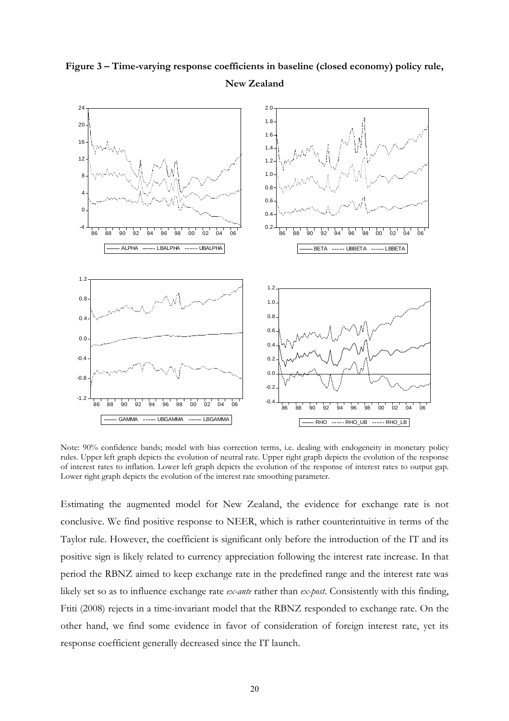

**Figure 3 – Time-varying response coefficients in baseline (closed economy) policy rule, New Zealand** 

Note: 90% confidence bands; model with bias correction terms, i.e. dealing with endogeneity in monetary policy rules. Upper left graph depicts the evolution of neutral rate. Upper right graph depicts the evolution of the response of interest rates to inflation. Lower left graph depicts the evolution of the response of interest rates to output gap. Lower right graph depicts the evolution of the interest rate smoothing parameter.

Estimating the augmented model for New Zealand, the evidence for exchange rate is not conclusive. We find positive response to NEER, which is rather counterintuitive in terms of the Taylor rule. However, the coefficient is significant only before the introduction of the IT and its positive sign is likely related to currency appreciation following the interest rate increase. In that period the RBNZ aimed to keep exchange rate in the predefined range and the interest rate was likely set so as to influence exchange rate *ex-ante* rather than *ex-post*. Consistently with this finding, Ftiti (2008) rejects in a time-invariant model that the RBNZ responded to exchange rate. On the other hand, we find some evidence in favor of consideration of foreign interest rate, yet its response coefficient generally decreased since the IT launch.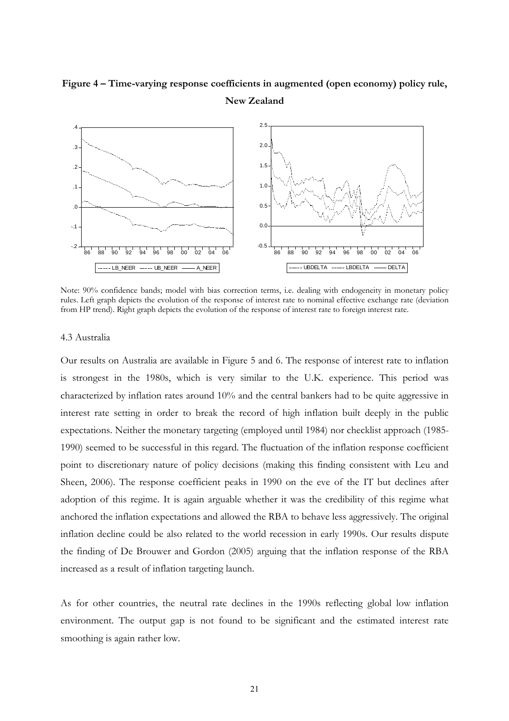# **Figure 4 – Time-varying response coefficients in augmented (open economy) policy rule, New Zealand**



Note: 90% confidence bands; model with bias correction terms, i.e. dealing with endogeneity in monetary policy rules. Left graph depicts the evolution of the response of interest rate to nominal effective exchange rate (deviation from HP trend). Right graph depicts the evolution of the response of interest rate to foreign interest rate.

#### 4.3 Australia

Our results on Australia are available in Figure 5 and 6. The response of interest rate to inflation is strongest in the 1980s, which is very similar to the U.K. experience. This period was characterized by inflation rates around 10% and the central bankers had to be quite aggressive in interest rate setting in order to break the record of high inflation built deeply in the public expectations. Neither the monetary targeting (employed until 1984) nor checklist approach (1985- 1990) seemed to be successful in this regard. The fluctuation of the inflation response coefficient point to discretionary nature of policy decisions (making this finding consistent with Leu and Sheen, 2006). The response coefficient peaks in 1990 on the eve of the IT but declines after adoption of this regime. It is again arguable whether it was the credibility of this regime what anchored the inflation expectations and allowed the RBA to behave less aggressively. The original inflation decline could be also related to the world recession in early 1990s. Our results dispute the finding of De Brouwer and Gordon (2005) arguing that the inflation response of the RBA increased as a result of inflation targeting launch.

As for other countries, the neutral rate declines in the 1990s reflecting global low inflation environment. The output gap is not found to be significant and the estimated interest rate smoothing is again rather low.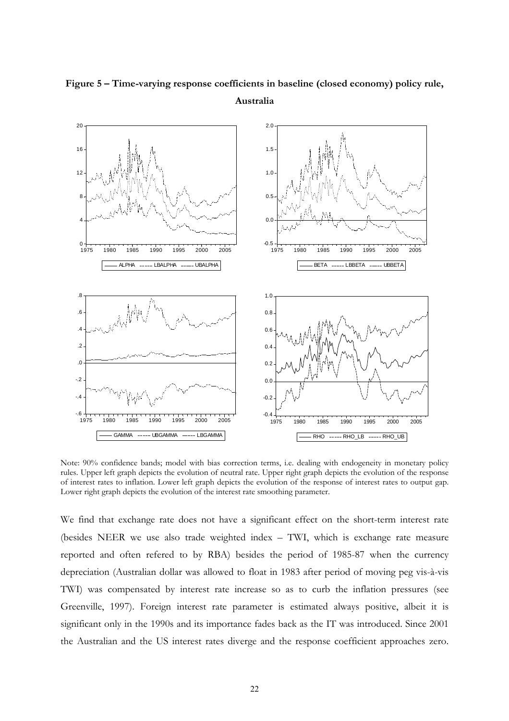

# **Figure 5 – Time-varying response coefficients in baseline (closed economy) policy rule, Australia**

Note: 90% confidence bands; model with bias correction terms, i.e. dealing with endogeneity in monetary policy rules. Upper left graph depicts the evolution of neutral rate. Upper right graph depicts the evolution of the response of interest rates to inflation. Lower left graph depicts the evolution of the response of interest rates to output gap. Lower right graph depicts the evolution of the interest rate smoothing parameter.

We find that exchange rate does not have a significant effect on the short-term interest rate (besides NEER we use also trade weighted index – TWI, which is exchange rate measure reported and often refered to by RBA) besides the period of 1985-87 when the currency depreciation (Australian dollar was allowed to float in 1983 after period of moving peg vis-à-vis TWI) was compensated by interest rate increase so as to curb the inflation pressures (see Greenville, 1997). Foreign interest rate parameter is estimated always positive, albeit it is significant only in the 1990s and its importance fades back as the IT was introduced. Since 2001 the Australian and the US interest rates diverge and the response coefficient approaches zero.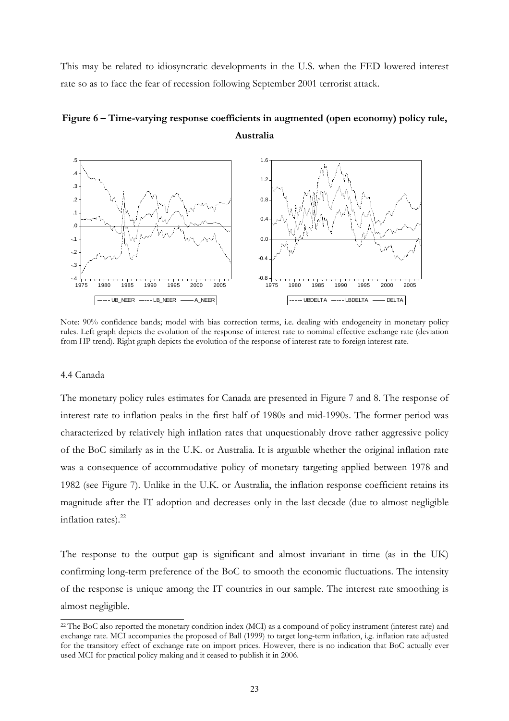This may be related to idiosyncratic developments in the U.S. when the FED lowered interest rate so as to face the fear of recession following September 2001 terrorist attack.



**Figure 6 – Time-varying response coefficients in augmented (open economy) policy rule, Australia** 

Note: 90% confidence bands; model with bias correction terms, i.e. dealing with endogeneity in monetary policy rules. Left graph depicts the evolution of the response of interest rate to nominal effective exchange rate (deviation from HP trend). Right graph depicts the evolution of the response of interest rate to foreign interest rate.

### 4.4 Canada

-

The monetary policy rules estimates for Canada are presented in Figure 7 and 8. The response of interest rate to inflation peaks in the first half of 1980s and mid-1990s. The former period was characterized by relatively high inflation rates that unquestionably drove rather aggressive policy of the BoC similarly as in the U.K. or Australia. It is arguable whether the original inflation rate was a consequence of accommodative policy of monetary targeting applied between 1978 and 1982 (see Figure 7). Unlike in the U.K. or Australia, the inflation response coefficient retains its magnitude after the IT adoption and decreases only in the last decade (due to almost negligible inflation rates). $^{22}$ 

The response to the output gap is significant and almost invariant in time (as in the UK) confirming long-term preference of the BoC to smooth the economic fluctuations. The intensity of the response is unique among the IT countries in our sample. The interest rate smoothing is almost negligible.

<sup>&</sup>lt;sup>22</sup> The BoC also reported the monetary condition index (MCI) as a compound of policy instrument (interest rate) and exchange rate. MCI accompanies the proposed of Ball (1999) to target long-term inflation, i.g. inflation rate adjusted for the transitory effect of exchange rate on import prices. However, there is no indication that BoC actually ever used MCI for practical policy making and it ceased to publish it in 2006.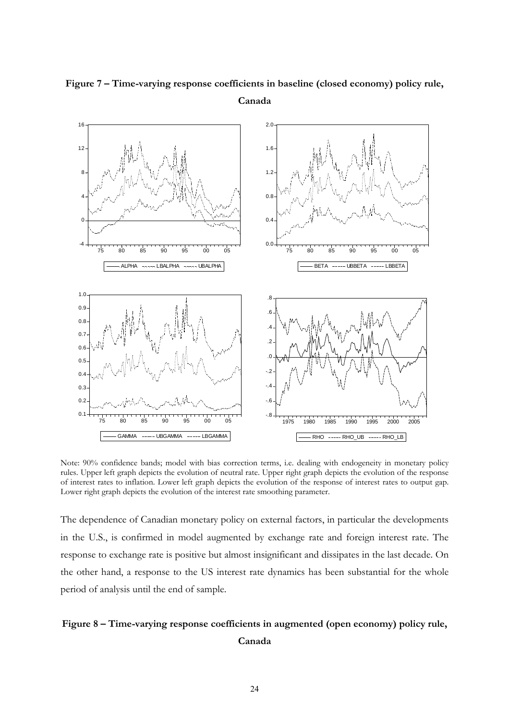

**Figure 7 – Time-varying response coefficients in baseline (closed economy) policy rule, Canada** 

Note: 90% confidence bands; model with bias correction terms, i.e. dealing with endogeneity in monetary policy rules. Upper left graph depicts the evolution of neutral rate. Upper right graph depicts the evolution of the response of interest rates to inflation. Lower left graph depicts the evolution of the response of interest rates to output gap. Lower right graph depicts the evolution of the interest rate smoothing parameter.

The dependence of Canadian monetary policy on external factors, in particular the developments in the U.S., is confirmed in model augmented by exchange rate and foreign interest rate. The response to exchange rate is positive but almost insignificant and dissipates in the last decade. On the other hand, a response to the US interest rate dynamics has been substantial for the whole period of analysis until the end of sample.

# **Figure 8 – Time-varying response coefficients in augmented (open economy) policy rule, Canada**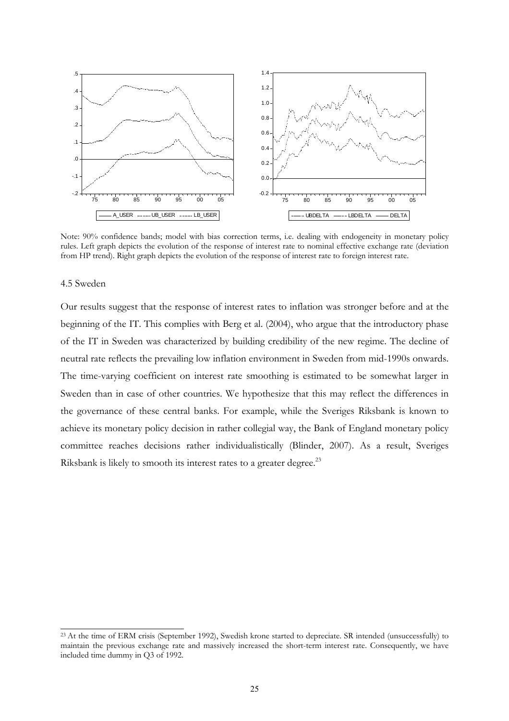

Note: 90% confidence bands; model with bias correction terms, i.e. dealing with endogeneity in monetary policy rules. Left graph depicts the evolution of the response of interest rate to nominal effective exchange rate (deviation from HP trend). Right graph depicts the evolution of the response of interest rate to foreign interest rate.

### 4.5 Sweden

-

Our results suggest that the response of interest rates to inflation was stronger before and at the beginning of the IT. This complies with Berg et al. (2004), who argue that the introductory phase of the IT in Sweden was characterized by building credibility of the new regime. The decline of neutral rate reflects the prevailing low inflation environment in Sweden from mid-1990s onwards. The time-varying coefficient on interest rate smoothing is estimated to be somewhat larger in Sweden than in case of other countries. We hypothesize that this may reflect the differences in the governance of these central banks. For example, while the Sveriges Riksbank is known to achieve its monetary policy decision in rather collegial way, the Bank of England monetary policy committee reaches decisions rather individualistically (Blinder, 2007). As a result, Sveriges Riksbank is likely to smooth its interest rates to a greater degree.<sup>23</sup>

<sup>&</sup>lt;sup>23</sup> At the time of ERM crisis (September 1992), Swedish krone started to depreciate. SR intended (unsuccessfully) to maintain the previous exchange rate and massively increased the short-term interest rate. Consequently, we have included time dummy in Q3 of 1992.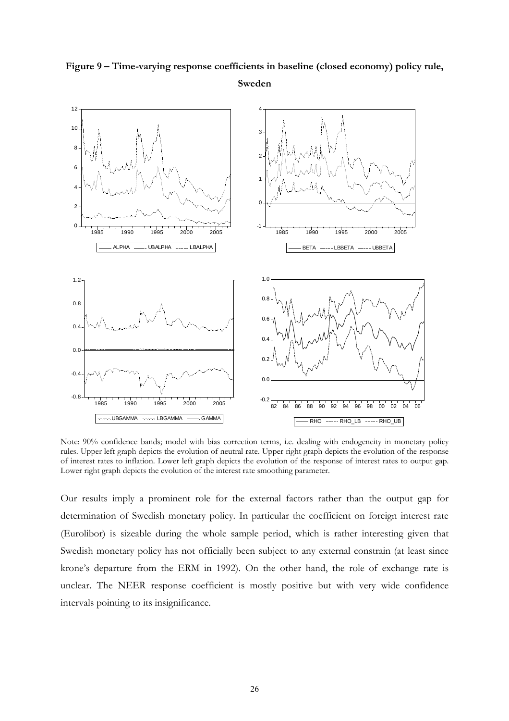

# **Figure 9 – Time-varying response coefficients in baseline (closed economy) policy rule, Sweden**

Note: 90% confidence bands; model with bias correction terms, i.e. dealing with endogeneity in monetary policy rules. Upper left graph depicts the evolution of neutral rate. Upper right graph depicts the evolution of the response of interest rates to inflation. Lower left graph depicts the evolution of the response of interest rates to output gap. Lower right graph depicts the evolution of the interest rate smoothing parameter.

Our results imply a prominent role for the external factors rather than the output gap for determination of Swedish monetary policy. In particular the coefficient on foreign interest rate (Eurolibor) is sizeable during the whole sample period, which is rather interesting given that Swedish monetary policy has not officially been subject to any external constrain (at least since krone's departure from the ERM in 1992). On the other hand, the role of exchange rate is unclear. The NEER response coefficient is mostly positive but with very wide confidence intervals pointing to its insignificance.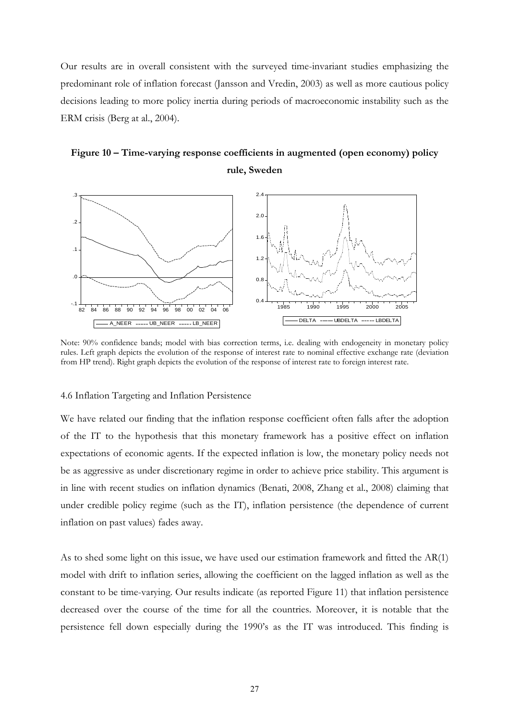Our results are in overall consistent with the surveyed time-invariant studies emphasizing the predominant role of inflation forecast (Jansson and Vredin, 2003) as well as more cautious policy decisions leading to more policy inertia during periods of macroeconomic instability such as the ERM crisis (Berg at al., 2004).

# **Figure 10 – Time-varying response coefficients in augmented (open economy) policy rule, Sweden**



Note: 90% confidence bands; model with bias correction terms, i.e. dealing with endogeneity in monetary policy rules. Left graph depicts the evolution of the response of interest rate to nominal effective exchange rate (deviation from HP trend). Right graph depicts the evolution of the response of interest rate to foreign interest rate.

#### 4.6 Inflation Targeting and Inflation Persistence

We have related our finding that the inflation response coefficient often falls after the adoption of the IT to the hypothesis that this monetary framework has a positive effect on inflation expectations of economic agents. If the expected inflation is low, the monetary policy needs not be as aggressive as under discretionary regime in order to achieve price stability. This argument is in line with recent studies on inflation dynamics (Benati, 2008, Zhang et al., 2008) claiming that under credible policy regime (such as the IT), inflation persistence (the dependence of current inflation on past values) fades away.

As to shed some light on this issue, we have used our estimation framework and fitted the AR(1) model with drift to inflation series, allowing the coefficient on the lagged inflation as well as the constant to be time-varying. Our results indicate (as reported Figure 11) that inflation persistence decreased over the course of the time for all the countries. Moreover, it is notable that the persistence fell down especially during the 1990's as the IT was introduced. This finding is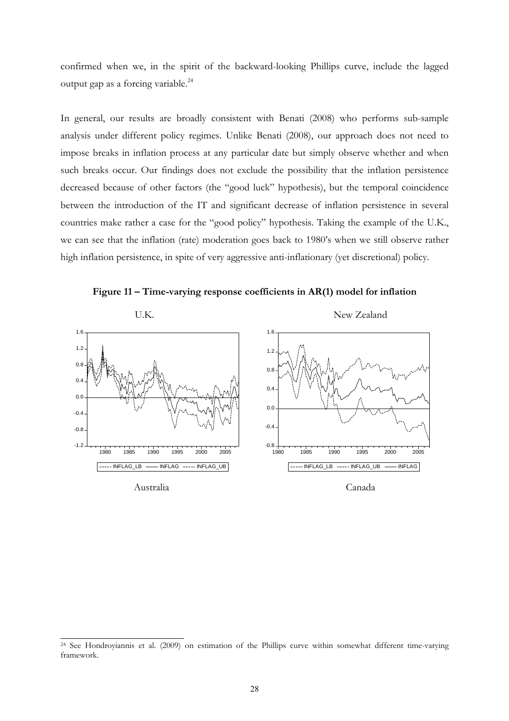confirmed when we, in the spirit of the backward-looking Phillips curve, include the lagged output gap as a forcing variable.24

In general, our results are broadly consistent with Benati (2008) who performs sub-sample analysis under different policy regimes. Unlike Benati (2008), our approach does not need to impose breaks in inflation process at any particular date but simply observe whether and when such breaks occur. Our findings does not exclude the possibility that the inflation persistence decreased because of other factors (the "good luck" hypothesis), but the temporal coincidence between the introduction of the IT and significant decrease of inflation persistence in several countries make rather a case for the "good policy" hypothesis. Taking the example of the U.K., we can see that the inflation (rate) moderation goes back to 1980's when we still observe rather high inflation persistence, in spite of very aggressive anti-inflationary (yet discretional) policy.

**Figure 11 – Time-varying response coefficients in AR(1) model for inflation** 



<sup>&</sup>lt;sup>24</sup> See Hondroyiannis et al. (2009) on estimation of the Phillips curve within somewhat different time-varying framework.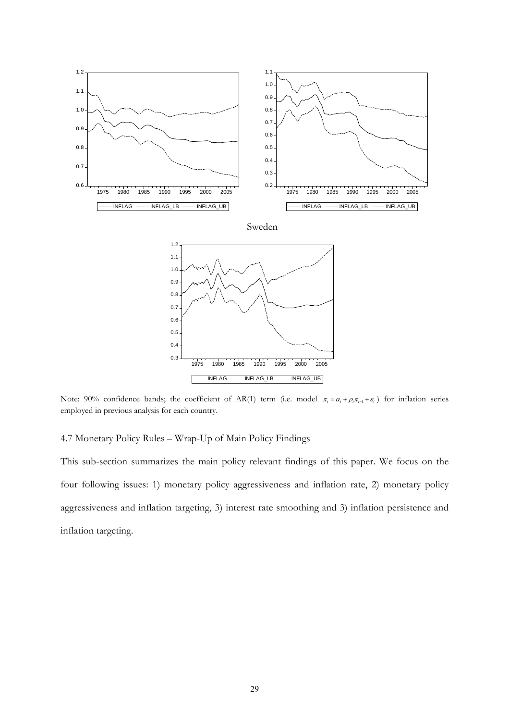

Note: 90% confidence bands; the coefficient of AR(1) term (i.e. model  $\pi_t = \alpha_t + \rho_t \pi_{t-1} + \varepsilon_t$ ) for inflation series employed in previous analysis for each country.

### 4.7 Monetary Policy Rules – Wrap-Up of Main Policy Findings

This sub-section summarizes the main policy relevant findings of this paper. We focus on the four following issues: 1) monetary policy aggressiveness and inflation rate, 2) monetary policy aggressiveness and inflation targeting, 3) interest rate smoothing and 3) inflation persistence and inflation targeting.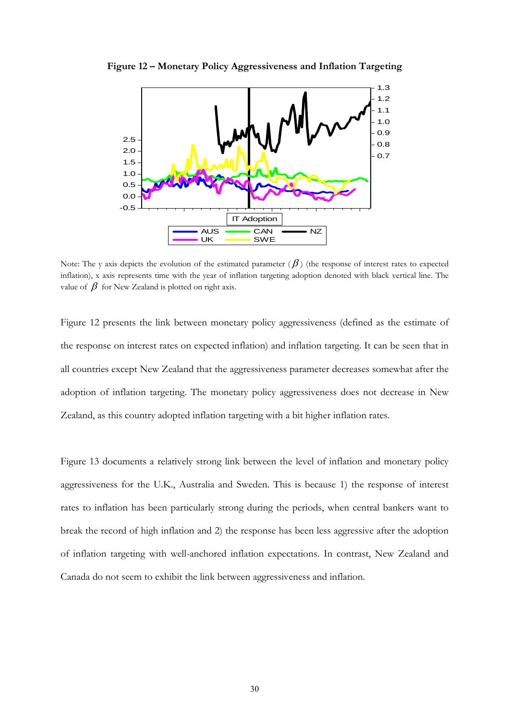

**Figure 12 – Monetary Policy Aggressiveness and Inflation Targeting** 

Note: The y axis depicts the evolution of the estimated parameter  $(\beta)$  (the response of interest rates to expected inflation), x axis represents time with the year of inflation targeting adoption denoted with black vertical line. The value of  $\beta$  for New Zealand is plotted on right axis.

Figure 12 presents the link between monetary policy aggressiveness (defined as the estimate of the response on interest rates on expected inflation) and inflation targeting. It can be seen that in all countries except New Zealand that the aggressiveness parameter decreases somewhat after the adoption of inflation targeting. The monetary policy aggressiveness does not decrease in New Zealand, as this country adopted inflation targeting with a bit higher inflation rates.

Figure 13 documents a relatively strong link between the level of inflation and monetary policy aggressiveness for the U.K., Australia and Sweden. This is because 1) the response of interest rates to inflation has been particularly strong during the periods, when central bankers want to break the record of high inflation and 2) the response has been less aggressive after the adoption of inflation targeting with well-anchored inflation expectations. In contrast, New Zealand and Canada do not seem to exhibit the link between aggressiveness and inflation.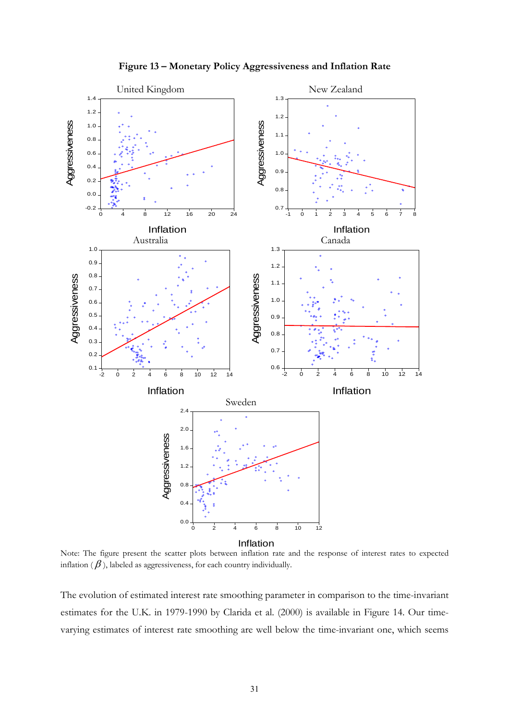

**Figure 13 – Monetary Policy Aggressiveness and Inflation Rate** 

Note: The figure present the scatter plots between inflation rate and the response of interest rates to expected inflation  $(\beta)$ , labeled as aggressiveness, for each country individually.

The evolution of estimated interest rate smoothing parameter in comparison to the time-invariant estimates for the U.K. in 1979-1990 by Clarida et al. (2000) is available in Figure 14. Our timevarying estimates of interest rate smoothing are well below the time-invariant one, which seems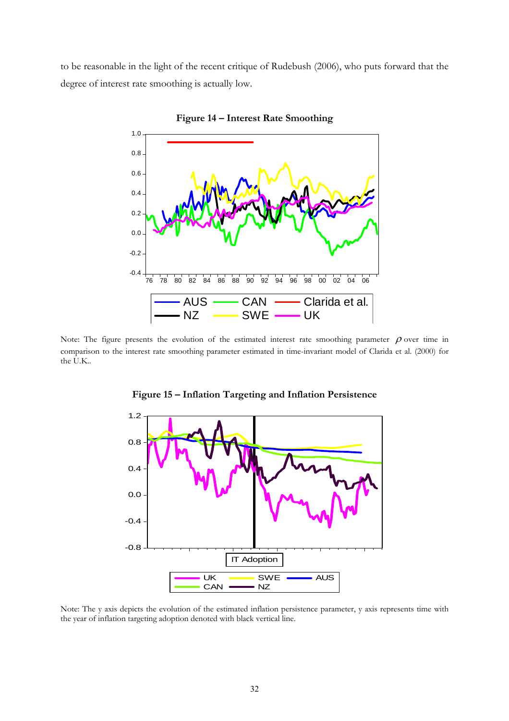to be reasonable in the light of the recent critique of Rudebush (2006), who puts forward that the degree of interest rate smoothing is actually low.



**Figure 14 – Interest Rate Smoothing** 

Note: The figure presents the evolution of the estimated interest rate smoothing parameter  $\rho$  over time in comparison to the interest rate smoothing parameter estimated in time-invariant model of Clarida et al. (2000) for the U.K..



**Figure 15 – Inflation Targeting and Inflation Persistence** 

Note: The y axis depicts the evolution of the estimated inflation persistence parameter, y axis represents time with the year of inflation targeting adoption denoted with black vertical line.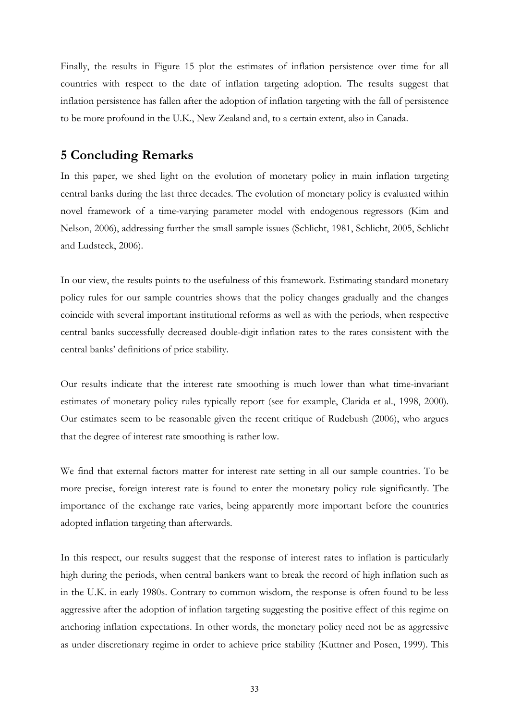Finally, the results in Figure 15 plot the estimates of inflation persistence over time for all countries with respect to the date of inflation targeting adoption. The results suggest that inflation persistence has fallen after the adoption of inflation targeting with the fall of persistence to be more profound in the U.K., New Zealand and, to a certain extent, also in Canada.

## **5 Concluding Remarks**

In this paper, we shed light on the evolution of monetary policy in main inflation targeting central banks during the last three decades. The evolution of monetary policy is evaluated within novel framework of a time-varying parameter model with endogenous regressors (Kim and Nelson, 2006), addressing further the small sample issues (Schlicht, 1981, Schlicht, 2005, Schlicht and Ludsteck, 2006).

In our view, the results points to the usefulness of this framework. Estimating standard monetary policy rules for our sample countries shows that the policy changes gradually and the changes coincide with several important institutional reforms as well as with the periods, when respective central banks successfully decreased double-digit inflation rates to the rates consistent with the central banks' definitions of price stability.

Our results indicate that the interest rate smoothing is much lower than what time-invariant estimates of monetary policy rules typically report (see for example, Clarida et al., 1998, 2000). Our estimates seem to be reasonable given the recent critique of Rudebush (2006), who argues that the degree of interest rate smoothing is rather low.

We find that external factors matter for interest rate setting in all our sample countries. To be more precise, foreign interest rate is found to enter the monetary policy rule significantly. The importance of the exchange rate varies, being apparently more important before the countries adopted inflation targeting than afterwards.

In this respect, our results suggest that the response of interest rates to inflation is particularly high during the periods, when central bankers want to break the record of high inflation such as in the U.K. in early 1980s. Contrary to common wisdom, the response is often found to be less aggressive after the adoption of inflation targeting suggesting the positive effect of this regime on anchoring inflation expectations. In other words, the monetary policy need not be as aggressive as under discretionary regime in order to achieve price stability (Kuttner and Posen, 1999). This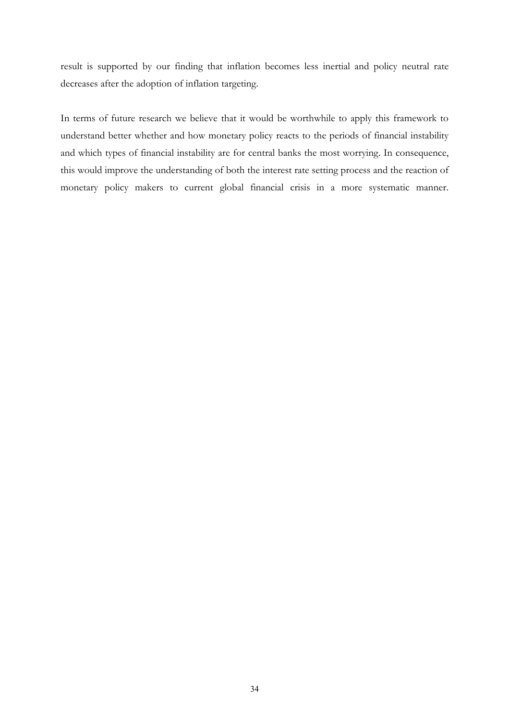result is supported by our finding that inflation becomes less inertial and policy neutral rate decreases after the adoption of inflation targeting.

In terms of future research we believe that it would be worthwhile to apply this framework to understand better whether and how monetary policy reacts to the periods of financial instability and which types of financial instability are for central banks the most worrying. In consequence, this would improve the understanding of both the interest rate setting process and the reaction of monetary policy makers to current global financial crisis in a more systematic manner.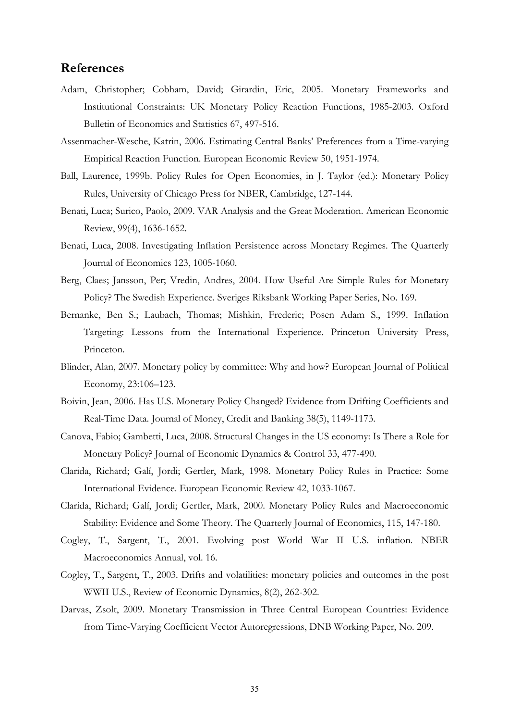### **References**

- Adam, Christopher; Cobham, David; Girardin, Eric, 2005. Monetary Frameworks and Institutional Constraints: UK Monetary Policy Reaction Functions, 1985-2003. Oxford Bulletin of Economics and Statistics 67, 497-516.
- Assenmacher-Wesche, Katrin, 2006. Estimating Central Banks' Preferences from a Time-varying Empirical Reaction Function. European Economic Review 50, 1951-1974.
- Ball, Laurence, 1999b. Policy Rules for Open Economies, in J. Taylor (ed.): Monetary Policy Rules, University of Chicago Press for NBER, Cambridge, 127-144.
- Benati, Luca; Surico, Paolo, 2009. VAR Analysis and the Great Moderation. American Economic Review, 99(4), 1636-1652.
- Benati, Luca, 2008. Investigating Inflation Persistence across Monetary Regimes. The Quarterly Journal of Economics 123, 1005-1060.
- Berg, Claes; Jansson, Per; Vredin, Andres, 2004. How Useful Are Simple Rules for Monetary Policy? The Swedish Experience. Sveriges Riksbank Working Paper Series, No. 169.
- Bernanke, Ben S.; Laubach, Thomas; Mishkin, Frederic; Posen Adam S., 1999. Inflation Targeting: Lessons from the International Experience. Princeton University Press, Princeton.
- Blinder, Alan, 2007. Monetary policy by committee: Why and how? European Journal of Political Economy, 23:106–123.
- Boivin, Jean, 2006. Has U.S. Monetary Policy Changed? Evidence from Drifting Coefficients and Real-Time Data. Journal of Money, Credit and Banking 38(5), 1149-1173.
- Canova, Fabio; Gambetti, Luca, 2008. Structural Changes in the US economy: Is There a Role for Monetary Policy? Journal of Economic Dynamics & Control 33, 477-490.
- Clarida, Richard; Galí, Jordi; Gertler, Mark, 1998. Monetary Policy Rules in Practice: Some International Evidence. European Economic Review 42, 1033-1067.
- Clarida, Richard; Galí, Jordi; Gertler, Mark, 2000. Monetary Policy Rules and Macroeconomic Stability: Evidence and Some Theory. The Quarterly Journal of Economics, 115, 147-180.
- Cogley, T., Sargent, T., 2001. Evolving post World War II U.S. inflation. NBER Macroeconomics Annual, vol. 16.
- Cogley, T., Sargent, T., 2003. Drifts and volatilities: monetary policies and outcomes in the post WWII U.S., Review of Economic Dynamics, 8(2), 262-302.
- Darvas, Zsolt, 2009. Monetary Transmission in Three Central European Countries: Evidence from Time-Varying Coefficient Vector Autoregressions, DNB Working Paper, No. 209.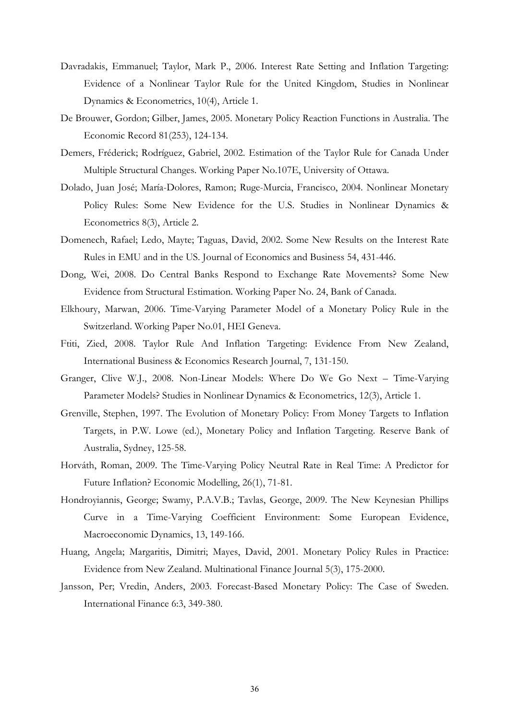- Davradakis, Emmanuel; Taylor, Mark P., 2006. Interest Rate Setting and Inflation Targeting: Evidence of a Nonlinear Taylor Rule for the United Kingdom, Studies in Nonlinear Dynamics & Econometrics, 10(4), Article 1.
- De Brouwer, Gordon; Gilber, James, 2005. Monetary Policy Reaction Functions in Australia. The Economic Record 81(253), 124-134.
- Demers, Fréderick; Rodríguez, Gabriel, 2002. Estimation of the Taylor Rule for Canada Under Multiple Structural Changes. Working Paper No.107E, University of Ottawa.
- Dolado, Juan José; María-Dolores, Ramon; Ruge-Murcia, Francisco, 2004. Nonlinear Monetary Policy Rules: Some New Evidence for the U.S. Studies in Nonlinear Dynamics & Econometrics 8(3), Article 2.
- Domenech, Rafael; Ledo, Mayte; Taguas, David, 2002. Some New Results on the Interest Rate Rules in EMU and in the US. Journal of Economics and Business 54, 431-446.
- Dong, Wei, 2008. Do Central Banks Respond to Exchange Rate Movements? Some New Evidence from Structural Estimation. Working Paper No. 24, Bank of Canada.
- Elkhoury, Marwan, 2006. Time-Varying Parameter Model of a Monetary Policy Rule in the Switzerland. Working Paper No.01, HEI Geneva.
- Ftiti, Zied, 2008. Taylor Rule And Inflation Targeting: Evidence From New Zealand, International Business & Economics Research Journal, 7, 131-150.
- Granger, Clive W.J., 2008. Non-Linear Models: Where Do We Go Next Time-Varying Parameter Models? Studies in Nonlinear Dynamics & Econometrics, 12(3), Article 1.
- Grenville, Stephen, 1997. The Evolution of Monetary Policy: From Money Targets to Inflation Targets, in P.W. Lowe (ed.), Monetary Policy and Inflation Targeting. Reserve Bank of Australia, Sydney, 125-58.
- Horváth, Roman, 2009. The Time-Varying Policy Neutral Rate in Real Time: A Predictor for Future Inflation? Economic Modelling, 26(1), 71-81.
- Hondroyiannis, George; Swamy, P.A.V.B.; Tavlas, George, 2009. The New Keynesian Phillips Curve in a Time-Varying Coefficient Environment: Some European Evidence, Macroeconomic Dynamics, 13, 149-166.
- Huang, Angela; Margaritis, Dimitri; Mayes, David, 2001. Monetary Policy Rules in Practice: Evidence from New Zealand. Multinational Finance Journal 5(3), 175-2000.
- Jansson, Per; Vredin, Anders, 2003. Forecast-Based Monetary Policy: The Case of Sweden. International Finance 6:3, 349-380.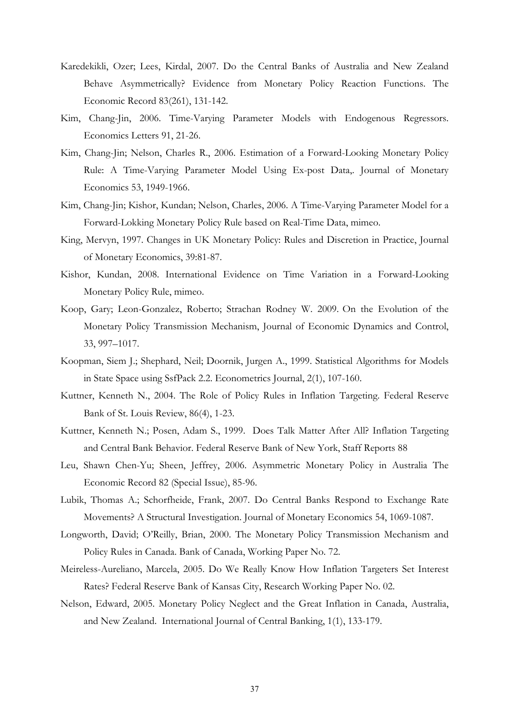- Karedekikli, Ozer; Lees, Kirdal, 2007. Do the Central Banks of Australia and New Zealand Behave Asymmetrically? Evidence from Monetary Policy Reaction Functions. The Economic Record 83(261), 131-142.
- Kim, Chang-Jin, 2006. Time-Varying Parameter Models with Endogenous Regressors. Economics Letters 91, 21-26.
- Kim, Chang-Jin; Nelson, Charles R., 2006. Estimation of a Forward-Looking Monetary Policy Rule: A Time-Varying Parameter Model Using Ex-post Data,. Journal of Monetary Economics 53, 1949-1966.
- Kim, Chang-Jin; Kishor, Kundan; Nelson, Charles, 2006. A Time-Varying Parameter Model for a Forward-Lokking Monetary Policy Rule based on Real-Time Data, mimeo.
- King, Mervyn, 1997. Changes in UK Monetary Policy: Rules and Discretion in Practice, Journal of Monetary Economics, 39:81-87.
- Kishor, Kundan, 2008. International Evidence on Time Variation in a Forward-Looking Monetary Policy Rule, mimeo.
- Koop, Gary; Leon-Gonzalez, Roberto; Strachan Rodney W. 2009. On the Evolution of the Monetary Policy Transmission Mechanism, Journal of Economic Dynamics and Control, 33, 997–1017.
- Koopman, Siem J.; Shephard, Neil; Doornik, Jurgen A., 1999. Statistical Algorithms for Models in State Space using SsfPack 2.2. Econometrics Journal, 2(1), 107-160.
- Kuttner, Kenneth N., 2004. The Role of Policy Rules in Inflation Targeting. Federal Reserve Bank of St. Louis Review, 86(4), 1-23.
- Kuttner, Kenneth N.; Posen, Adam S., 1999. Does Talk Matter After All? Inflation Targeting and Central Bank Behavior. Federal Reserve Bank of New York, Staff Reports 88
- Leu, Shawn Chen-Yu; Sheen, Jeffrey, 2006. Asymmetric Monetary Policy in Australia The Economic Record 82 (Special Issue), 85-96.
- Lubik, Thomas A.; Schorfheide, Frank, 2007. Do Central Banks Respond to Exchange Rate Movements? A Structural Investigation. Journal of Monetary Economics 54, 1069-1087.
- Longworth, David; O'Reilly, Brian, 2000. The Monetary Policy Transmission Mechanism and Policy Rules in Canada. Bank of Canada, Working Paper No. 72.
- Meireless-Aureliano, Marcela, 2005. Do We Really Know How Inflation Targeters Set Interest Rates? Federal Reserve Bank of Kansas City, Research Working Paper No. 02.
- Nelson, Edward, 2005. Monetary Policy Neglect and the Great Inflation in Canada, Australia, and New Zealand. International Journal of Central Banking, 1(1), 133-179.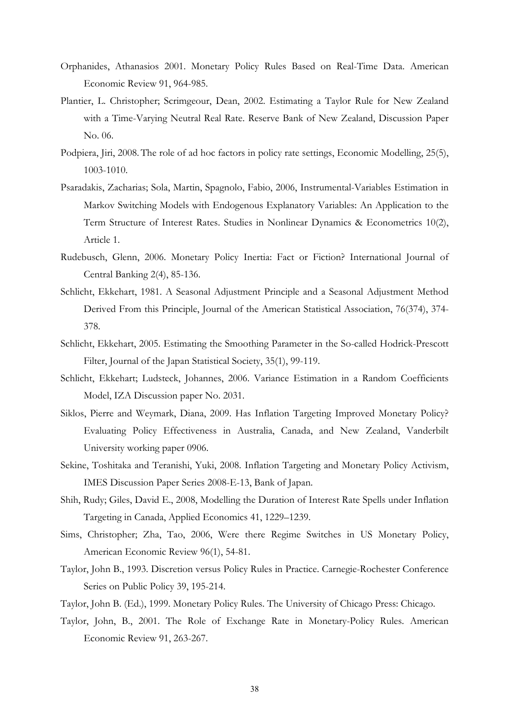- Orphanides, Athanasios 2001. Monetary Policy Rules Based on Real-Time Data. American Economic Review 91, 964-985.
- Plantier, L. Christopher; Scrimgeour, Dean, 2002. Estimating a Taylor Rule for New Zealand with a Time-Varying Neutral Real Rate. Reserve Bank of New Zealand, Discussion Paper No. 06.
- Podpiera, Jiri, 2008.The role of ad hoc factors in policy rate settings, Economic Modelling, 25(5), 1003-1010.
- Psaradakis, Zacharias; Sola, Martin, Spagnolo, Fabio, 2006, Instrumental-Variables Estimation in Markov Switching Models with Endogenous Explanatory Variables: An Application to the Term Structure of Interest Rates. Studies in Nonlinear Dynamics & Econometrics 10(2), Article 1.
- Rudebusch, Glenn, 2006. Monetary Policy Inertia: Fact or Fiction? International Journal of Central Banking 2(4), 85-136.
- Schlicht, Ekkehart, 1981. A Seasonal Adjustment Principle and a Seasonal Adjustment Method Derived From this Principle, Journal of the American Statistical Association, 76(374), 374- 378.
- Schlicht, Ekkehart, 2005. Estimating the Smoothing Parameter in the So-called Hodrick-Prescott Filter, Journal of the Japan Statistical Society, 35(1), 99-119.
- Schlicht, Ekkehart; Ludsteck, Johannes, 2006. Variance Estimation in a Random Coefficients Model, IZA Discussion paper No. 2031.
- Siklos, Pierre and Weymark, Diana, 2009. Has Inflation Targeting Improved Monetary Policy? Evaluating Policy Effectiveness in Australia, Canada, and New Zealand, Vanderbilt University working paper 0906.
- Sekine, Toshitaka and Teranishi, Yuki, 2008. Inflation Targeting and Monetary Policy Activism, IMES Discussion Paper Series 2008-E-13, Bank of Japan.
- Shih, Rudy; Giles, David E., 2008, Modelling the Duration of Interest Rate Spells under Inflation Targeting in Canada, Applied Economics 41, 1229–1239.
- Sims, Christopher; Zha, Tao, 2006, Were there Regime Switches in US Monetary Policy, American Economic Review 96(1), 54-81.
- Taylor, John B., 1993. Discretion versus Policy Rules in Practice. Carnegie-Rochester Conference Series on Public Policy 39, 195-214.
- Taylor, John B. (Ed.), 1999. Monetary Policy Rules. The University of Chicago Press: Chicago.
- Taylor, John, B., 2001. The Role of Exchange Rate in Monetary-Policy Rules. American Economic Review 91, 263-267.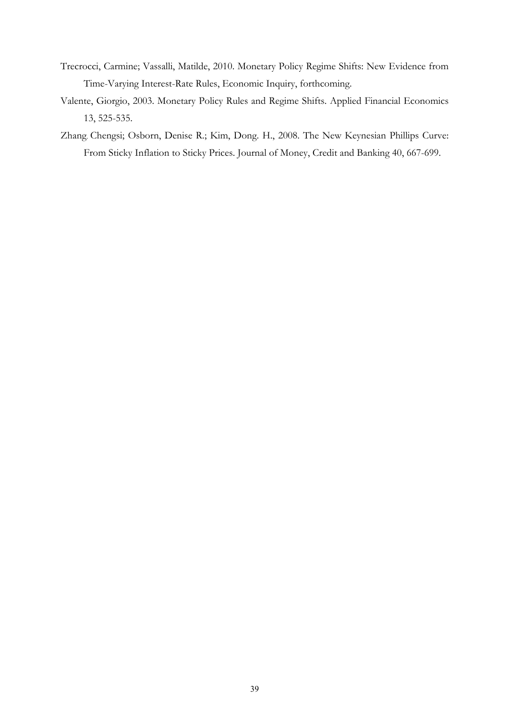- Trecrocci, Carmine; Vassalli, Matilde, 2010. Monetary Policy Regime Shifts: New Evidence from Time-Varying Interest-Rate Rules, Economic Inquiry, forthcoming.
- Valente, Giorgio, 2003. Monetary Policy Rules and Regime Shifts. Applied Financial Economics 13, 525-535.
- Zhang, Chengsi; Osborn, Denise R.; Kim, Dong. H., 2008. The New Keynesian Phillips Curve: From Sticky Inflation to Sticky Prices. Journal of Money, Credit and Banking 40, 667-699.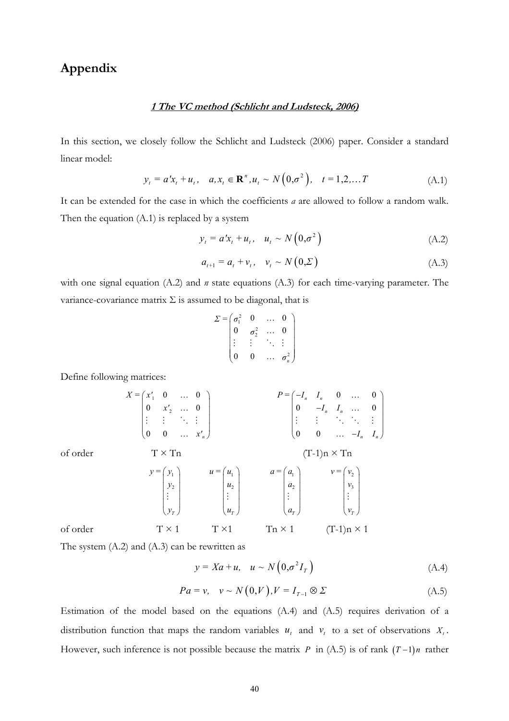# **Appendix**

### **1 The VC method (Schlicht and Ludsteck, 2006)**

In this section, we closely follow the Schlicht and Ludsteck (2006) paper. Consider a standard linear model:

$$
y_t = a'x_t + u_t, \quad a, x_t \in \mathbb{R}^n, u_t \sim N(0, \sigma^2), \quad t = 1, 2, \dots T
$$
 (A.1)

It can be extended for the case in which the coefficients *a* are allowed to follow a random walk. Then the equation (A.1) is replaced by a system

$$
y_t = a'x_t + u_t, \quad u_t \sim N\left(0, \sigma^2\right) \tag{A.2}
$$

$$
a_{t+1} = a_t + v_t, \quad v_t \sim N(0, \Sigma) \tag{A.3}
$$

with one signal equation (A.2) and *n* state equations (A.3) for each time-varying parameter. The variance-covariance matrix  $\Sigma$  is assumed to be diagonal, that is

$$
\Sigma = \begin{pmatrix} \sigma_1^2 & 0 & \dots & 0 \\ 0 & \sigma_2^2 & \dots & 0 \\ \vdots & \vdots & \ddots & \vdots \\ 0 & 0 & \dots & \sigma_n^2 \end{pmatrix}
$$

Define following matrices:

$$
X = \begin{pmatrix} x_1' & 0 & \dots & 0 \\ 0 & x_2' & \dots & 0 \\ \vdots & \vdots & \ddots & \vdots \\ 0 & 0 & \dots & x_n' \end{pmatrix} \qquad P = \begin{pmatrix} -I_n & I_n & 0 & \dots & 0 \\ 0 & -I_n & I_n & \dots & 0 \\ \vdots & \vdots & \ddots & \ddots & \vdots \\ 0 & 0 & \dots & -I_n & I_n \end{pmatrix}
$$
  
of order 
$$
Y = \begin{pmatrix} y_1 \\ y_2 \\ \vdots \\ y_r \end{pmatrix} \qquad u = \begin{pmatrix} u_1 \\ u_2 \\ \vdots \\ u_r \end{pmatrix} \qquad a = \begin{pmatrix} a_1 \\ a_2 \\ \vdots \\ a_r \end{pmatrix} \qquad V = \begin{pmatrix} v_2 \\ v_3 \\ \vdots \\ v_r \end{pmatrix}
$$
  
of order 
$$
T \times 1 \qquad T \times 1 \qquad T \times 1 \qquad T \times 1 \qquad (T-1)n \times 1
$$

The system (A.2) and (A.3) can be rewritten as

$$
y = Xa + u, \quad u \sim N\left(0, \sigma^2 I_r\right) \tag{A.4}
$$

$$
Pa = v, \quad v \sim N(0, V), V = I_{T-1} \otimes \Sigma \tag{A.5}
$$

Estimation of the model based on the equations (A.4) and (A.5) requires derivation of a distribution function that maps the random variables  $u_t$  and  $v_t$  to a set of observations  $X_t$ . However, such inference is not possible because the matrix *P* in (A.5) is of rank  $(T-1)n$  rather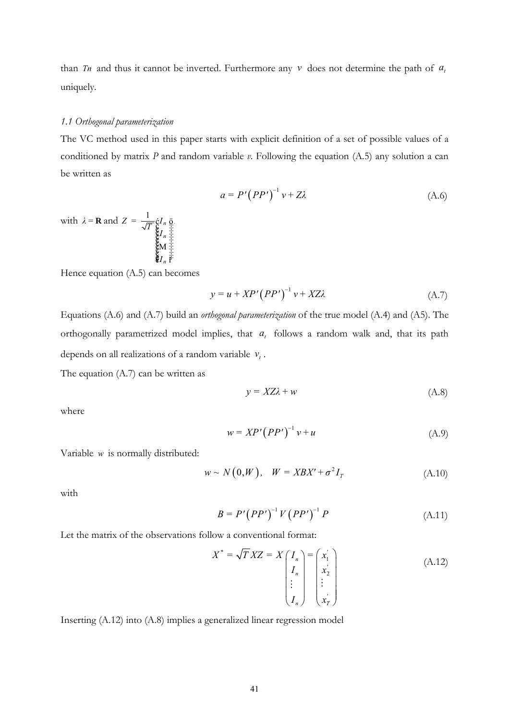than *Tn* and thus it cannot be inverted. Furthermore any  $\nu$  does not determine the path of  $a_t$ uniquely.

### *1.1 Orthogonal parameterization*

The VC method used in this paper starts with explicit definition of a set of possible values of a conditioned by matrix *P* and random variable *v*. Following the equation (A.5) any solution a can be written as

$$
a = P'(PP')^{-1} v + Z\lambda
$$
 (A.6)

with  $\lambda = \mathbf{R}$  and  $Z = \frac{1}{\sqrt{T}} \hat{\varepsilon} I_n$ *n*  $Z = \frac{1}{\sqrt{T}} \oint_{\mathbf{g}} I$ *I*  $\check{c}^{I}$   $\overset{\text{o}}{\underset{\text{co}}{\text{co}}}$ <br> $\overset{\text{o}}{\underset{\text{co}}{\text{co}}}$ <br> $\overset{\text{o}}{\underset{\text{co}}{\text{co}}}$ <br> $\overset{\text{o}}{\text{co}}$ <br> $\overset{\text{o}}{\text{co}}$ <br> $I$   $\overset{\text{o}}{\text{co}}$ <br> $I$   $\overset{\text{o}}{\text{co}}$ M .

Hence equation (A.5) can becomes

*n*

$$
y = u + XP'\left( PP'\right)^{-1}v + XZ\lambda\tag{A.7}
$$

Equations (A.6) and (A.7) build an *orthogonal parameterization* of the true model (A.4) and (A5). The orthogonally parametrized model implies, that  $a<sub>t</sub>$  follows a random walk and, that its path depends on all realizations of a random variable  $v_t$ .

The equation (A.7) can be written as

$$
y = XZ\lambda + w \tag{A.8}
$$

where

$$
w = XP'\left( PP'\right)^{-1}v + u\tag{A.9}
$$

Variable *w* is normally distributed:

$$
w \sim N(0, W), \quad W = XBX' + \sigma^2 I_T \tag{A.10}
$$

with

$$
B = P' (PP')^{-1} V (PP')^{-1} P \tag{A.11}
$$

Let the matrix of the observations follow a conventional format:

$$
X^* = \sqrt{T} XZ = X \begin{pmatrix} I_n \\ I_n \\ \vdots \\ I_n \end{pmatrix} = \begin{pmatrix} x'_1 \\ x'_2 \\ \vdots \\ x'_n \end{pmatrix}
$$
 (A.12)

Inserting (A.12) into (A.8) implies a generalized linear regression model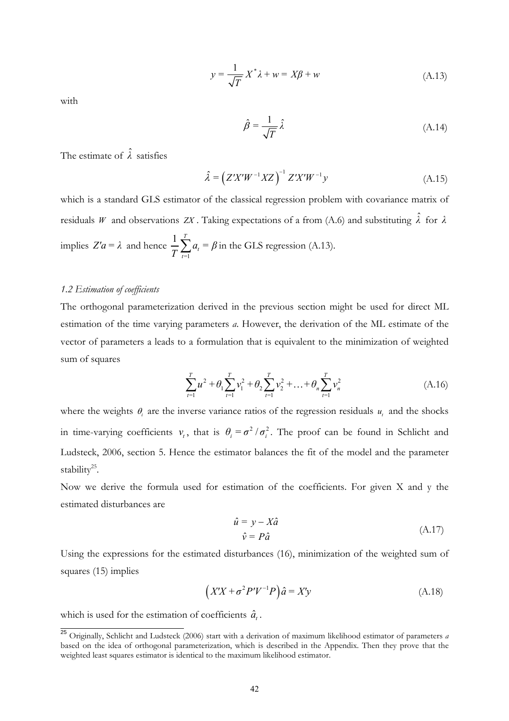$$
y = \frac{1}{\sqrt{T}} X^* \lambda + w = X\beta + w \tag{A.13}
$$

with

$$
\hat{\beta} = \frac{1}{\sqrt{T}} \hat{\lambda} \tag{A.14}
$$

The estimate of  $\hat{\lambda}$  satisfies

$$
\hat{\lambda} = \left( Z'X'W^{-1}XZ \right)^{-1} Z'X'W^{-1}y \tag{A.15}
$$

which is a standard GLS estimator of the classical regression problem with covariance matrix of residuals *W* and observations *ZX*. Taking expectations of a from (A.6) and substituting  $\hat{\lambda}$  for  $\lambda$ implies  $Z'a = \lambda$  and hence 1  $1\frac{7}{2}$ *t*  $\frac{1}{T}\sum_{t=1}^{T} a_t = \beta$  in the GLS regression (A.13).

#### *1.2 Estimation of coefficients*

The orthogonal parameterization derived in the previous section might be used for direct ML estimation of the time varying parameters *a*. However, the derivation of the ML estimate of the vector of parameters a leads to a formulation that is equivalent to the minimization of weighted sum of squares

$$
\sum_{t=1}^{T} u^2 + \theta_1 \sum_{t=1}^{T} v_1^2 + \theta_2 \sum_{t=1}^{T} v_2^2 + \dots + \theta_n \sum_{t=1}^{T} v_n^2
$$
\n(A.16)

where the weights  $\theta_i$  are the inverse variance ratios of the regression residuals  $u_i$  and the shocks in time-varying coefficients  $v_i$ , that is  $\theta_i = \sigma^2 / \sigma_i^2$ . The proof can be found in Schlicht and Ludsteck, 2006, section 5. Hence the estimator balances the fit of the model and the parameter stability<sup>25</sup>.

Now we derive the formula used for estimation of the coefficients. For given X and y the estimated disturbances are

$$
\hat{u} = y - X\hat{a} \n\hat{v} = P\hat{a}
$$
\n(A.17)

Using the expressions for the estimated disturbances (16), minimization of the weighted sum of squares (15) implies

$$
(X'X + \sigma^2 P'V^{-1}P)\hat{a} = X'y \tag{A.18}
$$

which is used for the estimation of coefficients  $\hat{a}$ .

 <sup>25</sup> Originally, Schlicht and Ludsteck (2006) start with a derivation of maximum likelihood estimator of parameters *a* based on the idea of orthogonal parameterization, which is described in the Appendix. Then they prove that the weighted least squares estimator is identical to the maximum likelihood estimator.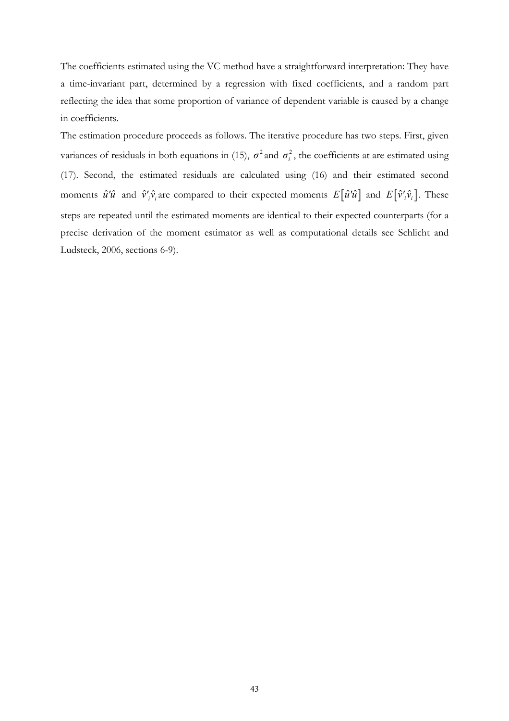The coefficients estimated using the VC method have a straightforward interpretation: They have a time-invariant part, determined by a regression with fixed coefficients, and a random part reflecting the idea that some proportion of variance of dependent variable is caused by a change in coefficients.

The estimation procedure proceeds as follows. The iterative procedure has two steps. First, given variances of residuals in both equations in (15),  $\sigma^2$  and  $\sigma_i^2$ , the coefficients at are estimated using (17). Second, the estimated residuals are calculated using (16) and their estimated second moments  $\hat{u}'\hat{u}$  and  $\hat{v}'_i\hat{v}_i$  are compared to their expected moments  $E[\hat{u}'\hat{u}]$  and  $E[\hat{v}'_i\hat{v}_i]$ . These steps are repeated until the estimated moments are identical to their expected counterparts (for a precise derivation of the moment estimator as well as computational details see Schlicht and Ludsteck, 2006, sections 6-9).